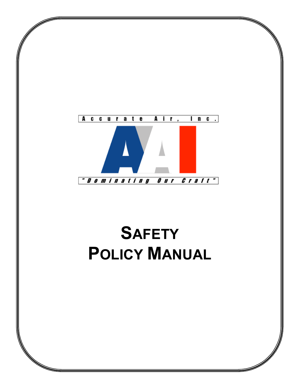

# **SAFETY POLICY MANUAL**

en de la política de la concelho de la concelho de la concelho de la concelho de la concelho de la concelho d<br>La concelho de la concelho de la concelho de la concelho de la concelho de la concelho de la concelho de la co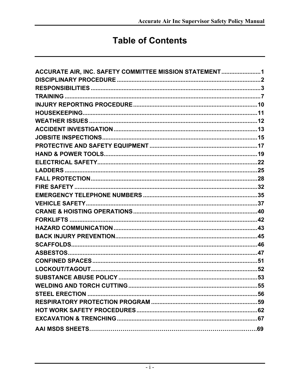# **Table of Contents**

| ACCURATE AIR, INC. SAFETY COMMITTEE MISSION STATEMENT1 |
|--------------------------------------------------------|
|                                                        |
|                                                        |
|                                                        |
|                                                        |
|                                                        |
|                                                        |
|                                                        |
|                                                        |
|                                                        |
|                                                        |
|                                                        |
|                                                        |
|                                                        |
|                                                        |
|                                                        |
|                                                        |
|                                                        |
|                                                        |
|                                                        |
|                                                        |
|                                                        |
|                                                        |
|                                                        |
|                                                        |
|                                                        |
|                                                        |
|                                                        |
|                                                        |
|                                                        |
|                                                        |
|                                                        |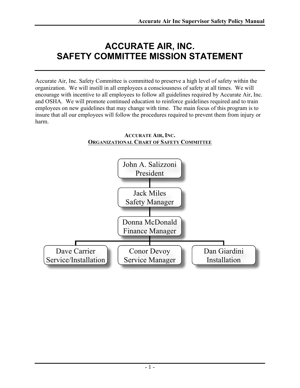# **ACCURATE AIR, INC. SAFETY COMMITTEE MISSION STATEMENT**

Accurate Air, Inc. Safety Committee is committed to preserve a high level of safety within the organization. We will instill in all employees a consciousness of safety at all times. We will encourage with incentive to all employees to follow all guidelines required by Accurate Air, Inc. and OSHA. We will promote continued education to reinforce guidelines required and to train employees on new guidelines that may change with time. The main focus of this program is to insure that all our employees will follow the procedures required to prevent them from injury or harm.



#### **ACCURATE AIR, INC. ORGANIZATIONAL CHART OF SAFETY COMMITTEE**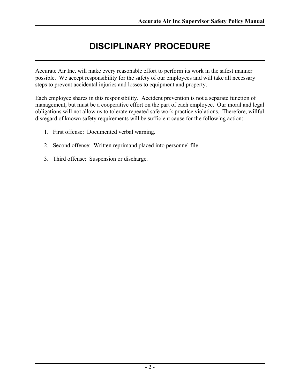# **DISCIPLINARY PROCEDURE**

Accurate Air Inc. will make every reasonable effort to perform its work in the safest manner possible. We accept responsibility for the safety of our employees and will take all necessary steps to prevent accidental injuries and losses to equipment and property.

Each employee shares in this responsibility. Accident prevention is not a separate function of management, but must be a cooperative effort on the part of each employee. Our moral and legal obligations will not allow us to tolerate repeated safe work practice violations. Therefore, willful disregard of known safety requirements will be sufficient cause for the following action:

- 1. First offense: Documented verbal warning.
- 2. Second offense: Written reprimand placed into personnel file.
- 3. Third offense: Suspension or discharge.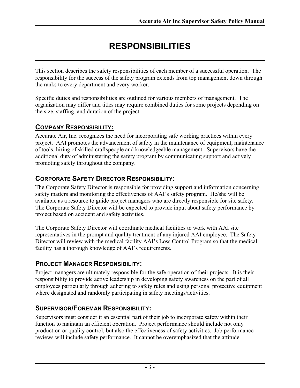# **RESPONSIBILITIES**

This section describes the safety responsibilities of each member of a successful operation. The responsibility for the success of the safety program extends from top management down through the ranks to every department and every worker.

Specific duties and responsibilities are outlined for various members of management. The organization may differ and titles may require combined duties for some projects depending on the size, staffing, and duration of the project.

### **COMPANY RESPONSIBILITY:**

Accurate Air, Inc. recognizes the need for incorporating safe working practices within every project. AAI promotes the advancement of safety in the maintenance of equipment, maintenance of tools, hiring of skilled craftspeople and knowledgeable management. Supervisors have the additional duty of administering the safety program by communicating support and actively promoting safety throughout the company.

### **CORPORATE SAFETY DIRECTOR RESPONSIBILITY:**

The Corporate Safety Director is responsible for providing support and information concerning safety matters and monitoring the effectiveness of AAI's safety program. He/she will be available as a resource to guide project managers who are directly responsible for site safety. The Corporate Safety Director will be expected to provide input about safety performance by project based on accident and safety activities.

The Corporate Safety Director will coordinate medical facilities to work with AAI site representatives in the prompt and quality treatment of any injured AAI employee. The Safety Director will review with the medical facility AAI's Loss Control Program so that the medical facility has a thorough knowledge of AAI's requirements.

### **PROJECT MANAGER RESPONSIBILITY:**

Project managers are ultimately responsible for the safe operation of their projects. It is their responsibility to provide active leadership in developing safety awareness on the part of all employees particularly through adhering to safety rules and using personal protective equipment where designated and randomly participating in safety meetings/activities.

### **SUPERVISOR/FOREMAN RESPONSIBILITY:**

Supervisors must consider it an essential part of their job to incorporate safety within their function to maintain an efficient operation. Project performance should include not only production or quality control, but also the effectiveness of safety activities. Job performance reviews will include safety performance. It cannot be overemphasized that the attitude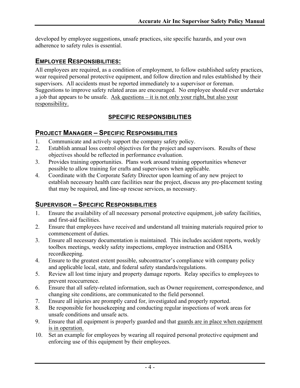developed by employee suggestions, unsafe practices, site specific hazards, and your own adherence to safety rules is essential.

### **EMPLOYEE RESPONSIBILITIES:**

All employees are required, as a condition of employment, to follow established safety practices, wear required personal protective equipment, and follow direction and rules established by their supervisors. All accidents must be reported immediately to a supervisor or foreman. Suggestions to improve safety related areas are encouraged. No employee should ever undertake a job that appears to be unsafe. Ask questions – it is not only your right, but also your responsibility.

### **SPECIFIC RESPONSIBILITIES**

### **PROJECT MANAGER – SPECIFIC RESPONSIBILITIES**

- 1. Communicate and actively support the company safety policy.
- 2. Establish annual loss control objectives for the project and supervisors. Results of these objectives should be reflected in performance evaluation.
- 3. Provides training opportunities. Plans work around training opportunities whenever possible to allow training for crafts and supervisors when applicable.
- 4. Coordinate with the Corporate Safety Director upon learning of any new project to establish necessary health care facilities near the project, discuss any pre-placement testing that may be required, and line-up rescue services, as necessary.

### **SUPERVISOR – SPECIFIC RESPONSIBILITIES**

- 1. Ensure the availability of all necessary personal protective equipment, job safety facilities, and first-aid facilities.
- 2. Ensure that employees have received and understand all training materials required prior to commencement of duties.
- 3. Ensure all necessary documentation is maintained. This includes accident reports, weekly toolbox meetings, weekly safety inspections, employee instruction and OSHA recordkeeping.
- 4. Ensure to the greatest extent possible, subcontractor's compliance with company policy and applicable local, state, and federal safety standards/regulations.
- 5. Review all lost time injury and property damage reports. Relay specifics to employees to prevent reoccurrence.
- 6. Ensure that all safety-related information, such as Owner requirement, correspondence, and changing site conditions, are communicated to the field personnel.
- 7. Ensure all injuries are promptly cared for, investigated and properly reported.
- 8. Be responsible for housekeeping and conducting regular inspections of work areas for unsafe conditions and unsafe acts.
- 9. Ensure that all equipment is properly guarded and that guards are in place when equipment is in operation.
- 10. Set an example for employees by wearing all required personal protective equipment and enforcing use of this equipment by their employees.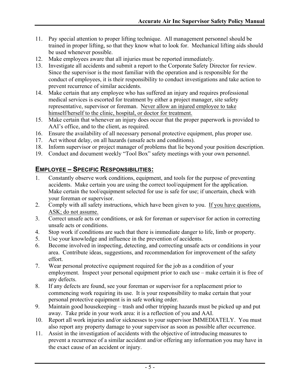- 11. Pay special attention to proper lifting technique. All management personnel should be trained in proper lifting, so that they know what to look for. Mechanical lifting aids should be used whenever possible.
- 12. Make employees aware that all injuries must be reported immediately.
- 13. Investigate all accidents and submit a report to the Corporate Safety Director for review. Since the supervisor is the most familiar with the operation and is responsible for the conduct of employees, it is their responsibility to conduct investigations and take action to prevent recurrence of similar accidents.
- 14. Make certain that any employee who has suffered an injury and requires professional medical services is escorted for treatment by either a project manager, site safety representative, supervisor or foreman. Never allow an injured employee to take himself/herself to the clinic, hospital, or doctor for treatment.
- 15. Make certain that whenever an injury does occur that the proper paperwork is provided to AAI's office, and to the client, as required.
- 16. Ensure the availability of all necessary personal protective equipment, plus proper use.
- 17. Act without delay, on all hazards (unsafe acts and conditions).
- 18. Inform supervisor or project manager of problems that lie beyond your position description.
- 19. Conduct and document weekly "Tool Box" safety meetings with your own personnel.

### **EMPLOYEE – SPECIFIC RESPONSIBILITIES:**

- 1. Constantly observe work conditions, equipment, and tools for the purpose of preventing accidents. Make certain you are using the correct tool/equipment for the application. Make certain the tool/equipment selected for use is safe for use; if uncertain, check with your foreman or supervisor.
- 2. Comply with all safety instructions, which have been given to you. If you have questions, ASK; do not assume.
- 3. Correct unsafe acts or conditions, or ask for foreman or supervisor for action in correcting unsafe acts or conditions.
- 4. Stop work if conditions are such that there is immediate danger to life, limb or property.
- 5. Use your knowledge and influence in the prevention of accidents.
- 6. Become involved in inspecting, detecting, and correcting unsafe acts or conditions in your area. Contribute ideas, suggestions, and recommendation for improvement of the safety effort.
- 7. Wear personal protective equipment required for the job as a condition of your employment. Inspect your personal equipment prior to each use – make certain it is free of any defects.
- 8. If any defects are found, see your foreman or supervisor for a replacement prior to commencing work requiring its use. It is your responsibility to make certain that your personal protective equipment is in safe working order.
- 9. Maintain good housekeeping trash and other tripping hazards must be picked up and put away. Take pride in your work area: it is a reflection of you and AAI.
- 10. Report all work injuries and/or sicknesses to your supervisor IMMEDIATELY. You must also report any property damage to your supervisor as soon as possible after occurrence.
- 11. Assist in the investigation of accidents with the objective of introducing measures to prevent a recurrence of a similar accident and/or offering any information you may have in the exact cause of an accident or injury.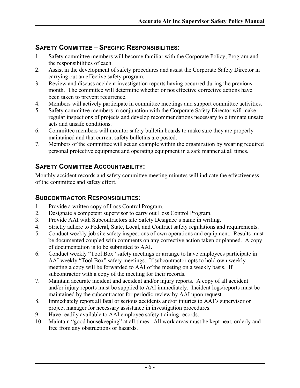### **SAFETY COMMITTEE – SPECIFIC RESPONSIBILITIES:**

- 1. Safety committee members will become familiar with the Corporate Policy, Program and the responsibilities of each.
- 2. Assist in the development of safety procedures and assist the Corporate Safety Director in carrying out an effective safety program.
- 3. Review and discuss accident investigation reports having occurred during the previous month. The committee will determine whether or not effective corrective actions have been taken to prevent recurrence.
- 4. Members will actively participate in committee meetings and support committee activities.
- 5. Safety committee members in conjunction with the Corporate Safety Director will make regular inspections of projects and develop recommendations necessary to eliminate unsafe acts and unsafe conditions.
- 6. Committee members will monitor safety bulletin boards to make sure they are properly maintained and that current safety bulletins are posted.
- 7. Members of the committee will set an example within the organization by wearing required personal protective equipment and operating equipment in a safe manner at all times.

### **SAFETY COMMITTEE ACCOUNTABILITY:**

Monthly accident records and safety committee meeting minutes will indicate the effectiveness of the committee and safety effort.

### **SUBCONTRACTOR RESPONSIBILITIES:**

- 1. Provide a written copy of Loss Control Program.
- 2. Designate a competent supervisor to carry out Loss Control Program.
- 3. Provide AAI with Subcontractors site Safety Designee's name in writing.
- 4. Strictly adhere to Federal, State, Local, and Contract safety regulations and requirements.
- 5. Conduct weekly job site safety inspections of own operations and equipment. Results must be documented coupled with comments on any corrective action taken or planned. A copy of documentation is to be submitted to AAI.
- 6. Conduct weekly "Tool Box" safety meetings or arrange to have employees participate in AAI weekly "Tool Box" safety meetings. If subcontractor opts to hold own weekly meeting a copy will be forwarded to AAI of the meeting on a weekly basis. If subcontractor with a copy of the meeting for their records.
- 7. Maintain accurate incident and accident and/or injury reports. A copy of all accident and/or injury reports must be supplied to AAI immediately. Incident logs/reports must be maintained by the subcontractor for periodic review by AAI upon request.
- 8. Immediately report all fatal or serious accidents and/or injuries to AAI's supervisor or project manager for necessary assistance in investigation procedures.
- 9. Have readily available to AAI employee safety training records.
- 10. Maintain "good housekeeping" at all times. All work areas must be kept neat, orderly and free from any obstructions or hazards.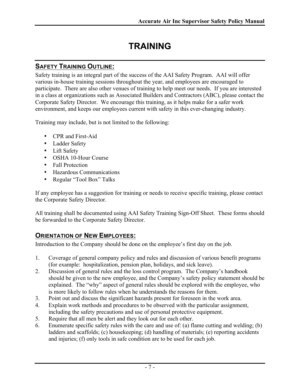# **TRAINING**

### **SAFETY TRAINING OUTLINE:**

Safety training is an integral part of the success of the AAI Safety Program. AAI will offer various in-house training sessions throughout the year, and employees are encouraged to participate. There are also other venues of training to help meet our needs. If you are interested in a class at organizations such as Associated Builders and Contractors (ABC), please contact the Corporate Safety Director. We encourage this training, as it helps make for a safer work environment, and keeps our employees current with safety in this ever-changing industry.

Training may include, but is not limited to the following:

- CPR and First-Aid
- Ladder Safety
- Lift Safety
- OSHA 10-Hour Course
- Fall Protection
- Hazardous Communications
- Regular "Tool Box" Talks

If any employee has a suggestion for training or needs to receive specific training, please contact the Corporate Safety Director.

All training shall be documented using AAI Safety Training Sign-Off Sheet. These forms should be forwarded to the Corporate Safety Director.

### **ORIENTATION OF NEW EMPLOYEES:**

Introduction to the Company should be done on the employee's first day on the job.

- 1. Coverage of general company policy and rules and discussion of various benefit programs (for example: hospitalization, pension plan, holidays, and sick leave).
- 2. Discussion of general rules and the loss control program. The Company's handbook should be given to the new employee, and the Company's safety policy statement should be explained. The "why" aspect of general rules should be explored with the employee, who is more likely to follow rules when he understands the reasons for them.
- 3. Point out and discuss the significant hazards present for foreseen in the work area.
- 4. Explain work methods and procedures to be observed with the particular assignment, including the safety precautions and use of personal protective equipment.
- 5. Require that all men be alert and they look out for each other.
- 6. Enumerate specific safety rules with the care and use of: (a) flame cutting and welding; (b) ladders and scaffolds; (c) housekeeping; (d) handling of materials; (e) reporting accidents and injuries; (f) only tools in safe condition are to be used for each job.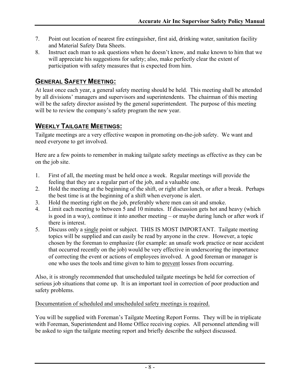- 7. Point out location of nearest fire extinguisher, first aid, drinking water, sanitation facility and Material Safety Data Sheets.
- 8. Instruct each man to ask questions when he doesn't know, and make known to him that we will appreciate his suggestions for safety; also, make perfectly clear the extent of participation with safety measures that is expected from him.

### **GENERAL SAFETY MEETING:**

At least once each year, a general safety meeting should be held. This meeting shall be attended by all divisions' managers and supervisors and superintendents. The chairman of this meeting will be the safety director assisted by the general superintendent. The purpose of this meeting will be to review the company's safety program the new year.

### **WEEKLY TAILGATE MEETINGS:**

Tailgate meetings are a very effective weapon in promoting on-the-job safety. We want and need everyone to get involved.

Here are a few points to remember in making tailgate safety meetings as effective as they can be on the job site.

- 1. First of all, the meeting must be held once a week. Regular meetings will provide the feeling that they are a regular part of the job, and a valuable one.
- 2. Hold the meeting at the beginning of the shift, or right after lunch, or after a break. Perhaps the best time is at the beginning of a shift when everyone is alert.
- 3. Hold the meeting right on the job, preferably where men can sit and smoke.
- 4. Limit each meeting to between 5 and 10 minutes. If discussion gets hot and heavy (which is good in a way), continue it into another meeting – or maybe during lunch or after work if there is interest.
- 5. Discuss only a single point or subject. THIS IS MOST IMPORTANT. Tailgate meeting topics will be supplied and can easily be read by anyone in the crew. However, a topic chosen by the foreman to emphasize (for example: an unsafe work practice or near accident that occurred recently on the job) would be very effective in underscoring the importance of correcting the event or actions of employees involved. A good foreman or manager is one who uses the tools and time given to him to prevent losses from occurring.

Also, it is strongly recommended that unscheduled tailgate meetings be held for correction of serious job situations that come up. It is an important tool in correction of poor production and safety problems.

Documentation of scheduled and unscheduled safety meetings is required.

You will be supplied with Foreman's Tailgate Meeting Report Forms. They will be in triplicate with Foreman, Superintendent and Home Office receiving copies. All personnel attending will be asked to sign the tailgate meeting report and briefly describe the subject discussed.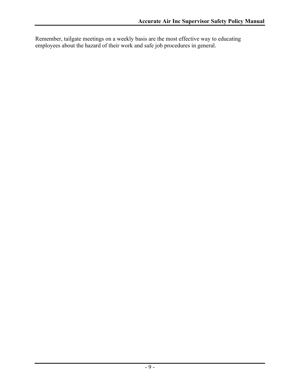Remember, tailgate meetings on a weekly basis are the most effective way to educating employees about the hazard of their work and safe job procedures in general.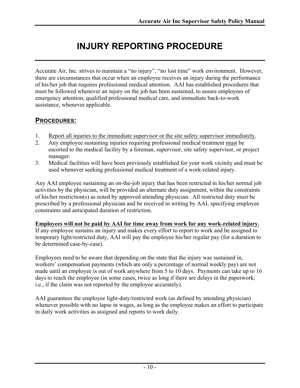# **INJURY REPORTING PROCEDURE**

Accurate Air, Inc. strives to maintain a "no injury", "no lost time" work environment. However, there are circumstances that occur when an employee receives an injury during the performance of his/her job that requires professional medical attention. AAI has established procedures that must be followed whenever an injury on the job has been sustained, to assure employees of emergency attention, qualified professional medical care, and immediate back-to-work assistance, whenever applicable.

### **PROCEDURES:**

- 1. Report all injuries to the immediate supervisor or the site safety supervisor immediately.
- 2. Any employee sustaining injuries requiring professional medical treatment must be escorted to the medical facility by a foreman, supervisor, site safety supervisor, or project manager.
- 3. Medical facilities will have been previously established for your work vicinity and must be used whenever seeking professional medical treatment of a work-related injury.

Any AAI employee sustaining an on-the-job injury that has been restricted in his/her normal job activities by the physician, will be provided an alternate duty assignment, within the constraints of his/her restriction(s) as noted by approved attending physician. All restricted duty must be prescribed by a professional physician and be received in writing by AAI, specifying employee constraints and anticipated duration of restriction.

#### **Employees will not be paid by AAI for time away from work for any work-related injury.**

If any employee sustains an injury and makes every effort to report to work and be assigned to temporary light/restricted duty, AAI will pay the employee his/her regular pay (for a duration to be determined case-by-case).

Employees need to be aware that depending on the state that the injury was sustained in, workers' compensation payments (which are only a percentage of normal weekly pay) are not made until an employee is out of work anywhere from 5 to 10 days. Payments can take up to 16 days to reach the employee (in some cases, twice as long if there are delays in the paperwork; i.e., if the claim was not reported by the employee accurately).

AAI guarantees the employee light-duty/restricted work (as defined by attending physician) whenever possible with no lapse in wages, as long as the employee makes an effort to participate in daily work activities as assigned and reports to work daily.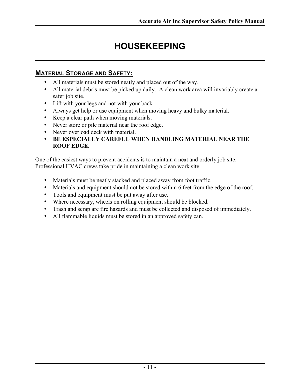# **HOUSEKEEPING**

### **MATERIAL STORAGE AND SAFETY:**

- All materials must be stored neatly and placed out of the way.
- All material debris must be picked up daily. A clean work area will invariably create a safer job site.
- Lift with your legs and not with your back.
- Always get help or use equipment when moving heavy and bulky material.
- Keep a clear path when moving materials.
- Never store or pile material near the roof edge.
- Never overload deck with material.
- **BE ESPECIALLY CAREFUL WHEN HANDLING MATERIAL NEAR THE ROOF EDGE.**

One of the easiest ways to prevent accidents is to maintain a neat and orderly job site. Professional HVAC crews take pride in maintaining a clean work site.

- Materials must be neatly stacked and placed away from foot traffic.
- Materials and equipment should not be stored within 6 feet from the edge of the roof.
- Tools and equipment must be put away after use.
- Where necessary, wheels on rolling equipment should be blocked.
- Trash and scrap are fire hazards and must be collected and disposed of immediately.
- All flammable liquids must be stored in an approved safety can.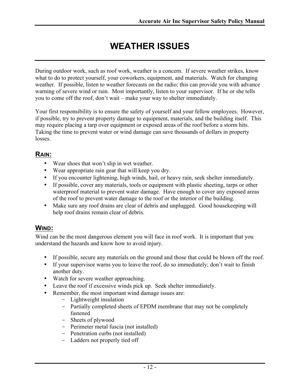# **WEATHER ISSUES**

During outdoor work, such as roof work, weather is a concern. If severe weather strikes, know what to do to protect yourself, your coworkers, equipment, and materials. Watch for changing weather. If possible, listen to weather forecasts on the radio; this can provide you with advance warning of severe wind or rain. Most importantly, listen to your supervisor. If he or she tells you to come off the roof, don't wait – make your way to shelter immediately.

Your first responsibility is to ensure the safety of yourself and your fellow employees. However, if possible, try to prevent property damage to equipment, materials, and the building itself. This may require placing a tarp over equipment or exposed areas of the roof before a storm hits. Taking the time to prevent water or wind damage can save thousands of dollars in property losses.

### **RAIN:**

- Wear shoes that won't slip in wet weather.
- Wear appropriate rain gear that will keep you dry.
- If you encounter lightening, high winds, hail, or heavy rain, seek shelter immediately.
- If possible, cover any materials, tools or equipment with plastic sheeting, tarps or other waterproof material to prevent water damage. Have enough to cover any exposed areas of the roof to prevent water damage to the roof or the interior of the building.
- Make sure any roof drains are clear of debris and unplugged. Good house keeping will help roof drains remain clear of debris.

### **WIND:**

Wind can be the most dangerous element you will face in roof work. It is important that you understand the hazards and know how to avoid injury.

- If possible, secure any materials on the ground and those that could be blown off the roof.
- If your supervisor warns you to leave the roof, do so immediately; don't wait to finish another duty.
- Watch for severe weather approaching.
- Leave the roof if excessive winds pick up. Seek shelter immediately.
- Remember, the most important wind damage issues are:
	- Lightweight insulation
	- Partially completed sheets of EPDM membrane that may not be completely fastened
	- Sheets of plywood
	- Perimeter metal fuscia (not installed)
	- Penetration curbs (not installed)
	- Ladders not properly tied off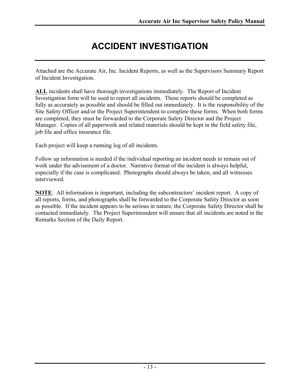# **ACCIDENT INVESTIGATION**

Attached are the Accurate Air, Inc. Incident Reports, as well as the Supervisors Summary Report of Incident Investigation.

**ALL** incidents shall have thorough investigations immediately. The Report of Incident Investigation form will be used to report all incidents. These reports should be completed as fully as accurately as possible and should be filled out immediately. It is the responsibility of the Site Safety Officer and/or the Project Superintendent to complete these forms. When both forms are completed, they must be forwarded to the Corporate Safety Director and the Project Manager. Copies of all paperwork and related materials should be kept in the field safety file, job file and office insurance file.

Each project will keep a running log of all incidents.

Follow up information is needed if the individual reporting an incident needs to remain out of work under the advisement of a doctor. Narrative format of the incident is always helpful, especially if the case is complicated. Photographs should always be taken, and all witnesses interviewed.

**NOTE**: All information is important, including the subcontractors' incident report. A copy of all reports, forms, and photographs shall be forwarded to the Corporate Safety Director as soon as possible. If the incident appears to be serious in nature, the Corporate Safety Director shall be contacted immediately. The Project Superintendent will ensure that all incidents are noted in the Remarks Section of the Daily Report.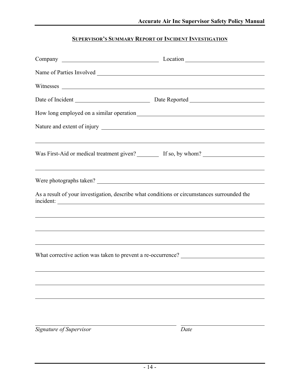#### **SUPERVISOR'S SUMMARY REPORT OF INCIDENT INVESTIGATION**

| Date of Incident Date Reported Date Reported                                                                         |      |
|----------------------------------------------------------------------------------------------------------------------|------|
| How long employed on a similar operation                                                                             |      |
|                                                                                                                      |      |
| <u> 1999 - Jan Barat de Barat de la contrada de la contrada de la contrada de la contrada de la contrada de la c</u> |      |
| Was First-Aid or medical treatment given? If so, by whom? ______________________                                     |      |
|                                                                                                                      |      |
| Were photographs taken?                                                                                              |      |
| As a result of your investigation, describe what conditions or circumstances surrounded the<br>incident:             |      |
| <u> 1999 - Johann Stoff, amerikansk politiker (d. 1989)</u>                                                          |      |
| ,我们也不会有什么。""我们的人,我们也不会有什么?""我们的人,我们也不会有什么?""我们的人,我们也不会有什么?""我们的人,我们也不会有什么?""我们的人                                     |      |
|                                                                                                                      |      |
| What corrective action was taken to prevent a re-occurrence? ____________________                                    |      |
|                                                                                                                      |      |
|                                                                                                                      |      |
|                                                                                                                      |      |
|                                                                                                                      |      |
|                                                                                                                      |      |
| Signature of Supervisor                                                                                              | Date |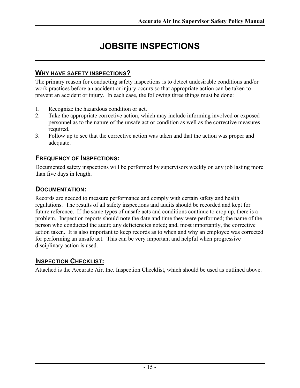# **JOBSITE INSPECTIONS**

#### **WHY HAVE SAFETY INSPECTIONS?**

The primary reason for conducting safety inspections is to detect undesirable conditions and/or work practices before an accident or injury occurs so that appropriate action can be taken to prevent an accident or injury. In each case, the following three things must be done:

- 1. Recognize the hazardous condition or act.
- 2. Take the appropriate corrective action, which may include informing involved or exposed personnel as to the nature of the unsafe act or condition as well as the corrective measures required.
- 3. Follow up to see that the corrective action was taken and that the action was proper and adequate.

### **FREQUENCY OF INSPECTIONS:**

Documented safety inspections will be performed by supervisors weekly on any job lasting more than five days in length.

### **DOCUMENTATION:**

Records are needed to measure performance and comply with certain safety and health regulations. The results of all safety inspections and audits should be recorded and kept for future reference. If the same types of unsafe acts and conditions continue to crop up, there is a problem. Inspection reports should note the date and time they were performed; the name of the person who conducted the audit; any deficiencies noted; and, most importantly, the corrective action taken. It is also important to keep records as to when and why an employee was corrected for performing an unsafe act. This can be very important and helpful when progressive disciplinary action is used.

### **INSPECTION CHECKLIST:**

Attached is the Accurate Air, Inc. Inspection Checklist, which should be used as outlined above.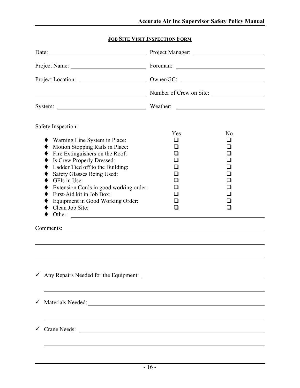### **JOB SITE VISIT INSPECTION FORM**

| Date:                                                                                                                                                                                                                                                                                                                                                                            |                              |                                               |  |
|----------------------------------------------------------------------------------------------------------------------------------------------------------------------------------------------------------------------------------------------------------------------------------------------------------------------------------------------------------------------------------|------------------------------|-----------------------------------------------|--|
| Project Name:                                                                                                                                                                                                                                                                                                                                                                    |                              |                                               |  |
| Project Location:                                                                                                                                                                                                                                                                                                                                                                |                              |                                               |  |
| <u> Alexandria de la contrada de la contrada de la contrada de la contrada de la contrada de la contrada de la c</u>                                                                                                                                                                                                                                                             | Number of Crew on Site:      |                                               |  |
|                                                                                                                                                                                                                                                                                                                                                                                  | Weather:                     | <u> 1980 - Andrea Andrew Maria (h. 1980).</u> |  |
| Safety Inspection:<br>Warning Line System in Place:<br>Motion Stopping Rails in Place:<br>Fire Extinguishers on the Roof:<br>Is Crew Properly Dressed:<br>Ladder Tied off to the Building:<br>Safety Glasses Being Used:<br>GFIs in Use:<br>Extension Cords in good working order:<br>First-Aid kit in Job Box:<br>Equipment in Good Working Order:<br>Clean Job Site:<br>Other: | Yes<br>l 1<br>$\blacksquare$ | No                                            |  |
|                                                                                                                                                                                                                                                                                                                                                                                  |                              |                                               |  |
|                                                                                                                                                                                                                                                                                                                                                                                  |                              |                                               |  |
| $\checkmark$                                                                                                                                                                                                                                                                                                                                                                     |                              |                                               |  |
| ✓                                                                                                                                                                                                                                                                                                                                                                                |                              |                                               |  |
| Crane Needs:<br>$\checkmark$                                                                                                                                                                                                                                                                                                                                                     |                              |                                               |  |
|                                                                                                                                                                                                                                                                                                                                                                                  |                              |                                               |  |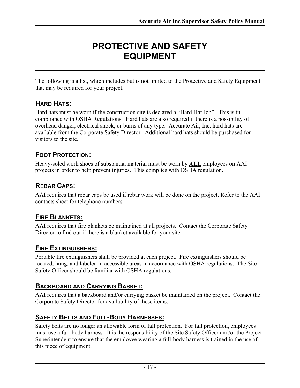# **PROTECTIVE AND SAFETY EQUIPMENT**

The following is a list, which includes but is not limited to the Protective and Safety Equipment that may be required for your project.

### **HARD HATS:**

Hard hats must be worn if the construction site is declared a "Hard Hat Job". This is in compliance with OSHA Regulations. Hard hats are also required if there is a possibility of overhead danger, electrical shock, or burns of any type. Accurate Air, Inc. hard hats are available from the Corporate Safety Director. Additional hard hats should be purchased for visitors to the site.

### **FOOT PROTECTION:**

Heavy-soled work shoes of substantial material must be worn by **ALL** employees on AAI projects in order to help prevent injuries. This complies with OSHA regulation.

### **REBAR CAPS:**

AAI requires that rebar caps be used if rebar work will be done on the project. Refer to the AAI contacts sheet for telephone numbers.

### **FIRE BLANKETS:**

AAI requires that fire blankets be maintained at all projects. Contact the Corporate Safety Director to find out if there is a blanket available for your site.

### **FIRE EXTINGUISHERS:**

Portable fire extinguishers shall be provided at each project. Fire extinguishers should be located, hung, and labeled in accessible areas in accordance with OSHA regulations. The Site Safety Officer should be familiar with OSHA regulations.

### **BACKBOARD AND CARRYING BASKET:**

AAI requires that a backboard and/or carrying basket be maintained on the project. Contact the Corporate Safety Director for availability of these items.

### **SAFETY BELTS AND FULL-BODY HARNESSES:**

Safety belts are no longer an allowable form of fall protection. For fall protection, employees must use a full-body harness. It is the responsibility of the Site Safety Officer and/or the Project Superintendent to ensure that the employee wearing a full-body harness is trained in the use of this piece of equipment.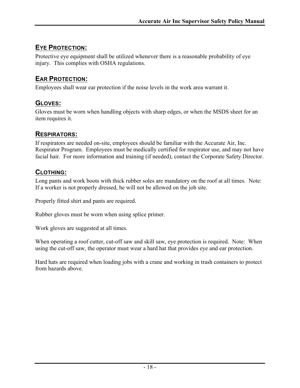### **EYE PROTECTION:**

Protective eye equipment shall be utilized whenever there is a reasonable probability of eye injury. This complies with OSHA regulations.

### **EAR PROTECTION:**

Employees shall wear ear protection if the noise levels in the work area warrant it.

### **GLOVES:**

Gloves must be worn when handling objects with sharp edges, or when the MSDS sheet for an item requires it.

### **RESPIRATORS:**

If respirators are needed on-site, employees should be familiar with the Accurate Air, Inc. Respirator Program. Employees must be medically certified for respirator use, and may not have facial hair. For more information and training (if needed), contact the Corporate Safety Director.

### **CLOTHING:**

Long pants and work boots with thick rubber soles are mandatory on the roof at all times. Note: If a worker is not properly dressed, he will not be allowed on the job site.

Properly fitted shirt and pants are required.

Rubber gloves must be worn when using splice primer.

Work gloves are suggested at all times.

When operating a roof cutter, cut-off saw and skill saw, eye protection is required. Note: When using the cut-off saw, the operator must wear a hard hat that provides eye and ear protection.

Hard hats are required when loading jobs with a crane and working in trash containers to protect from hazards above.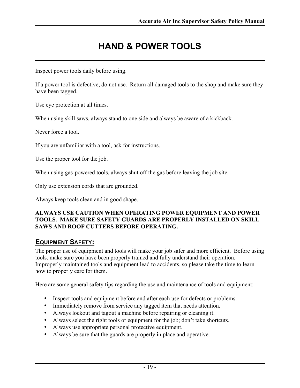# **HAND & POWER TOOLS**

Inspect power tools daily before using.

If a power tool is defective, do not use. Return all damaged tools to the shop and make sure they have been tagged.

Use eye protection at all times.

When using skill saws, always stand to one side and always be aware of a kickback.

Never force a tool.

If you are unfamiliar with a tool, ask for instructions.

Use the proper tool for the job.

When using gas-powered tools, always shut off the gas before leaving the job site.

Only use extension cords that are grounded.

Always keep tools clean and in good shape.

#### **ALWAYS USE CAUTION WHEN OPERATING POWER EQUIPMENT AND POWER TOOLS. MAKE SURE SAFETY GUARDS ARE PROPERLY INSTALLED ON SKILL SAWS AND ROOF CUTTERS BEFORE OPERATING.**

### **EQUIPMENT SAFETY:**

The proper use of equipment and tools will make your job safer and more efficient. Before using tools, make sure you have been properly trained and fully understand their operation. Improperly maintained tools and equipment lead to accidents, so please take the time to learn how to properly care for them.

Here are some general safety tips regarding the use and maintenance of tools and equipment:

- Inspect tools and equipment before and after each use for defects or problems.
- Immediately remove from service any tagged item that needs attention.
- Always lockout and tagout a machine before repairing or cleaning it.
- Always select the right tools or equipment for the job; don't take shortcuts.
- Always use appropriate personal protective equipment.
- Always be sure that the guards are properly in place and operative.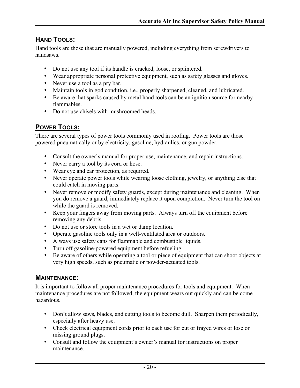### **HAND TOOLS:**

Hand tools are those that are manually powered, including everything from screwdrivers to handsaws.

- Do not use any tool if its handle is cracked, loose, or splintered.
- Wear appropriate personal protective equipment, such as safety glasses and gloves.
- Never use a tool as a pry bar.
- Maintain tools in god condition, i.e., properly sharpened, cleaned, and lubricated.
- Be aware that sparks caused by metal hand tools can be an ignition source for nearby flammables.
- Do not use chisels with mushroomed heads.

### **POWER TOOLS:**

There are several types of power tools commonly used in roofing. Power tools are those powered pneumatically or by electricity, gasoline, hydraulics, or gun powder.

- Consult the owner's manual for proper use, maintenance, and repair instructions.
- Never carry a tool by its cord or hose.
- Wear eye and ear protection, as required.
- Never operate power tools while wearing loose clothing, jewelry, or anything else that could catch in moving parts.
- Never remove or modify safety guards, except during maintenance and cleaning. When you do remove a guard, immediately replace it upon completion. Never turn the tool on while the guard is removed.
- Keep your fingers away from moving parts. Always turn off the equipment before removing any debris.
- Do not use or store tools in a wet or damp location.
- Operate gasoline tools only in a well-ventilated area or outdoors.
- Always use safety cans for flammable and combustible liquids.
- Turn off gasoline-powered equipment before refueling.
- Be aware of others while operating a tool or piece of equipment that can shoot objects at very high speeds, such as pneumatic or powder-actuated tools.

#### **MAINTENANCE:**

It is important to follow all proper maintenance procedures for tools and equipment. When maintenance procedures are not followed, the equipment wears out quickly and can be come hazardous.

- Don't allow saws, blades, and cutting tools to become dull. Sharpen them periodically, especially after heavy use.
- Check electrical equipment cords prior to each use for cut or frayed wires or lose or missing ground plugs.
- Consult and follow the equipment's owner's manual for instructions on proper maintenance.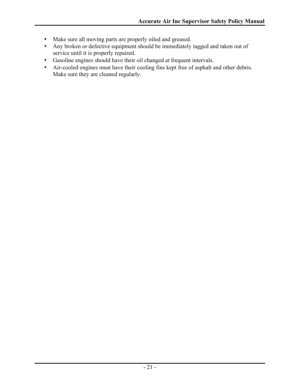- Make sure all moving parts are properly oiled and greased.
- Any broken or defective equipment should be immediately tagged and taken out of service until it is properly repaired.
- Gasoline engines should have their oil changed at frequent intervals.
- Air-cooled engines must have their cooling fins kept free of asphalt and other debris. Make sure they are cleaned regularly.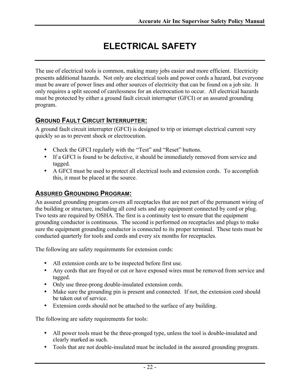# **ELECTRICAL SAFETY**

The use of electrical tools is common, making many jobs easier and more efficient. Electricity presents additional hazards. Not only are electrical tools and power cords a hazard, but everyone must be aware of power lines and other sources of electricity that can be found on a job site. It only requires a split second of carelessness for an electrocution to occur. All electrical hazards must be protected by either a ground fault circuit interrupter (GFCI) or an assured grounding program.

### **GROUND FAULT CIRCUIT INTERRUPTER:**

A ground fault circuit interrupter (GFCI) is designed to trip or interrupt electrical current very quickly so as to prevent shock or electrocution.

- Check the GFCI regularly with the "Test" and "Reset" buttons.
- If a GFCI is found to be defective, it should be immediately removed from service and tagged.
- A GFCI must be used to protect all electrical tools and extension cords. To accomplish this, it must be placed at the source.

### **ASSURED GROUNDING PROGRAM:**

An assured grounding program covers all receptacles that are not part of the permanent wiring of the building or structure, including all cord sets and any equipment connected by cord or plug. Two tests are required by OSHA. The first is a continuity test to ensure that the equipment grounding conductor is continuous. The second is performed on receptacles and plugs to make sure the equipment grounding conductor is connected to its proper terminal. These tests must be conducted quarterly for tools and cords and every six months for receptacles.

The following are safety requirements for extension cords:

- All extension cords are to be inspected before first use.
- Any cords that are frayed or cut or have exposed wires must be removed from service and tagged.
- Only use three-prong double-insulated extension cords.
- Make sure the grounding pin is present and connected. If not, the extension cord should be taken out of service.
- Extension cords should not be attached to the surface of any building.

The following are safety requirements for tools:

- All power tools must be the three-pronged type, unless the tool is double-insulated and clearly marked as such.
- Tools that are not double-insulated must be included in the assured grounding program.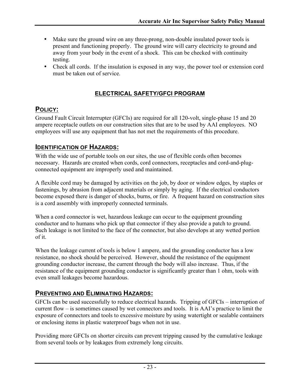- Make sure the ground wire on any three-prong, non-double insulated power tools is present and functioning properly. The ground wire will carry electricity to ground and away from your body in the event of a shock. This can be checked with continuity testing.
- Check all cords. If the insulation is exposed in any way, the power tool or extension cord must be taken out of service.

### **ELECTRICAL SAFETY/GFCI PROGRAM**

### **POLICY:**

Ground Fault Circuit Interrupter (GFCIs) are required for all 120-volt, single-phase 15 and 20 ampere receptacle outlets on our construction sites that are to be used by AAI employees. NO employees will use any equipment that has not met the requirements of this procedure.

### **IDENTIFICATION OF HAZARDS:**

With the wide use of portable tools on our sites, the use of flexible cords often becomes necessary. Hazards are created when cords, cord connectors, receptacles and cord-and-plugconnected equipment are improperly used and maintained.

A flexible cord may be damaged by activities on the job, by door or window edges, by staples or fastenings, by abrasion from adjacent materials or simply by aging. If the electrical conductors become exposed there is danger of shocks, burns, or fire. A frequent hazard on construction sites is a cord assembly with improperly connected terminals.

When a cord connector is wet, hazardous leakage can occur to the equipment grounding conductor and to humans who pick up that connector if they also provide a patch to ground. Such leakage is not limited to the face of the connector, but also develops at any wetted portion of it.

When the leakage current of tools is below 1 ampere, and the grounding conductor has a low resistance, no shock should be perceived. However, should the resistance of the equipment grounding conductor increase, the current through the body will also increase. Thus, if the resistance of the equipment grounding conductor is significantly greater than 1 ohm, tools with even small leakages become hazardous.

### **PREVENTING AND ELIMINATING HAZARDS:**

GFCIs can be used successfully to reduce electrical hazards. Tripping of GFCIs – interruption of current flow – is sometimes caused by wet connectors and tools. It is AAI's practice to limit the exposure of connectors and tools to excessive moisture by using watertight or sealable containers or enclosing items in plastic waterproof bags when not in use.

Providing more GFCIs on shorter circuits can prevent tripping caused by the cumulative leakage from several tools or by leakages from extremely long circuits.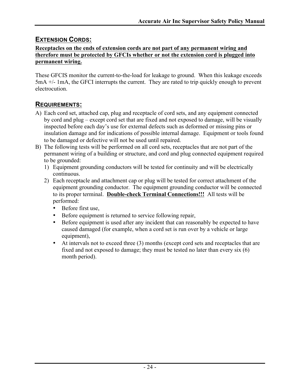### **EXTENSION CORDS:**

#### **Receptacles on the ends of extension cords are not part of any permanent wiring and therefore must be protected by GFCIs whether or not the extension cord is plugged into permanent wiring.**

These GFCIS monitor the current-to-the-load for leakage to ground. When this leakage exceeds 5mA +/- 1mA, the GFCI interrupts the current. They are rated to trip quickly enough to prevent electrocution.

### **REQUIREMENTS:**

- A) Each cord set, attached cap, plug and receptacle of cord sets, and any equipment connected by cord and plug – except cord set that are fixed and not exposed to damage, will be visually inspected before each day's use for external defects such as deformed or missing pins or insulation damage and for indications of possible internal damage. Equipment or tools found to be damaged or defective will not be used until repaired.
- B) The following tests will be performed on all cord sets, receptacles that are not part of the permanent wiring of a building or structure, and cord and plug connected equipment required to be grounded:
	- 1) Equipment grounding conductors will be tested for continuity and will be electrically continuous.
	- 2) Each receptacle and attachment cap or plug will be tested for correct attachment of the equipment grounding conductor. The equipment grounding conductor will be connected to its proper terminal. **Double-check Terminal Connections!!!** All tests will be performed:
		- Before first use,
		- Before equipment is returned to service following repair,
		- Before equipment is used after any incident that can reasonably be expected to have caused damaged (for example, when a cord set is run over by a vehicle or large equipment),
		- At intervals not to exceed three (3) months (except cord sets and receptacles that are fixed and not exposed to damage; they must be tested no later than every six (6) month period).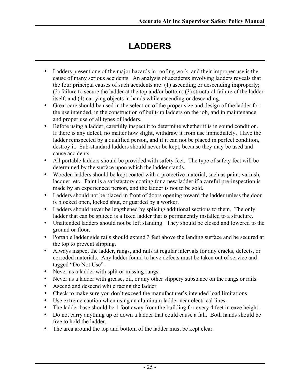# **LADDERS**

- Ladders present one of the major hazards in roofing work, and their improper use is the cause of many serious accidents. An analysis of accidents involving ladders reveals that the four principal causes of such accidents are: (1) ascending or descending improperly; (2) failure to secure the ladder at the top and/or bottom; (3) structural failure of the ladder itself; and (4) carrying objects in hands while ascending or descending.
- Great care should be used in the selection of the proper size and design of the ladder for the use intended, in the construction of built-up ladders on the job, and in maintenance and proper use of all types of ladders.
- Before using a ladder, carefully inspect it to determine whether it is in sound condition. If there is any defect, no matter how slight, withdraw it from use immediately. Have the ladder reinspected by a qualified person, and if it can not be placed in perfect condition, destroy it. Sub-standard ladders should never be kept, because they may be used and cause accidents.
- All portable ladders should be provided with safety feet. The type of safety feet will be determined by the surface upon which the ladder stands.
- Wooden ladders should be kept coated with a protective material, such as paint, varnish, lacquer, etc. Paint is a satisfactory coating for a new ladder if a careful pre-inspection is made by an experienced person, and the ladder is not to be sold.
- Ladders should not be placed in front of doors opening toward the ladder unless the door is blocked open, locked shut, or guarded by a worker.
- Ladders should never be lengthened by splicing additional sections to them. The only ladder that can be spliced is a fixed ladder that is permanently installed to a structure.
- Unattended ladders should not be left standing. They should be closed and lowered to the ground or floor.
- Portable ladder side rails should extend 3 feet above the landing surface and be secured at the top to prevent slipping.
- Always inspect the ladder, rungs, and rails at regular intervals for any cracks, defects, or corroded materials. Any ladder found to have defects must be taken out of service and tagged "Do Not Use".
- Never us a ladder with split or missing rungs.
- Never us a ladder with grease, oil, or any other slippery substance on the rungs or rails.
- Ascend and descend while facing the ladder
- Check to make sure you don't exceed the manufacturer's intended load limitations.
- Use extreme caution when using an aluminum ladder near electrical lines.
- The ladder base should be 1 foot away from the building for every 4 feet in eave height.
- Do not carry anything up or down a ladder that could cause a fall. Both hands should be free to hold the ladder.
- The area around the top and bottom of the ladder must be kept clear.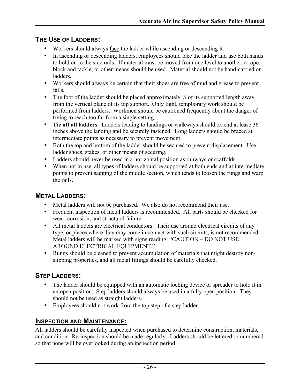### **THE USE OF LADDERS:**

- Workers should always face the ladder while ascending or descending it.
- In ascending or descending ladders, employees should face the ladder and use both hands to hold on to the side rails. If material must be moved from one level to another, a rope, block and tackle, or other means should be used. Material should not be hand-carried on ladders.
- Workers should always be certain that their shoes are free of mud and grease to prevent falls.
- The foot of the ladder should be placed approximately  $\frac{1}{4}$  of its supported length away from the vertical plane of its top support. Only light, temp0orary work should be performed from ladders. Workmen should be cautioned frequently about the danger of trying to reach too far from a single setting.
- **Tie off all ladders.** Ladders leading to landings or walkways should extend at lease 36 inches above the landing and be securely fastened. Long ladders should be braced at intermediate points as necessary to prevent movement.
- Both the top and bottom of the ladder should be secured to prevent displacement. Use ladder shoes, stakes, or other means of securing.
- Ladders should never be used in a horizontal position as runways or scaffolds.
- When not in use, all types of ladders should be supported at both ends and at intermediate points to prevent sagging of the middle section, which tends to loosen the rungs and warp the rails.

### **METAL LADDERS:**

- Metal ladders will not be purchased. We also do not recommend their use.
- Frequent inspection of metal ladders is recommended. All parts should be checked for wear, corrosion, and structural failure.
- All metal ladders are electrical conductors. Their use around electrical circuits of any type, or places where they may come in contact with such circuits, is not recommended. Metal ladders will be marked with signs reading: "CAUTION – DO NOT USE AROUND ELECTRICAL EQUIPMENT."
- Rungs should be cleaned to prevent accumulation of materials that might destroy nonslipping properties, and all metal fittings should be carefully checked.

### **STEP LADDERS:**

- The ladder should be equipped with an automatic locking device or spreader to hold it in an open position. Step ladders should always be used in a fully open position. They should not be used as straight ladders.
- Employees should not work from the top step of a step ladder.

### **INSPECTION AND MAINTENANCE:**

All ladders should be carefully inspected when purchased to determine construction, materials, and condition. Re-inspection should be made regularly. Ladders should be lettered or numbered so that none will be overlooked during an inspection period.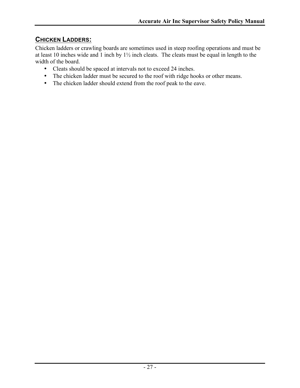### **CHICKEN LADDERS:**

Chicken ladders or crawling boards are sometimes used in steep roofing operations and must be at least 10 inches wide and 1 inch by 1½ inch cleats. The cleats must be equal in length to the width of the board.

- Cleats should be spaced at intervals not to exceed 24 inches.
- The chicken ladder must be secured to the roof with ridge hooks or other means.
- The chicken ladder should extend from the roof peak to the eave.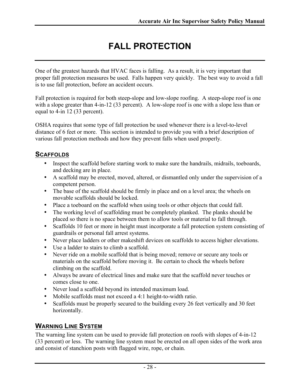# **FALL PROTECTION**

One of the greatest hazards that HVAC faces is falling. As a result, it is very important that proper fall protection measures be used. Falls happen very quickly. The best way to avoid a fall is to use fall protection, before an accident occurs.

Fall protection is required for both steep-slope and low-slope roofing. A steep-slope roof is one with a slope greater than 4-in-12 (33 percent). A low-slope roof is one with a slope less than or equal to 4-in 12 (33 percent).

OSHA requires that some type of fall protection be used whenever there is a level-to-level distance of 6 feet or more. This section is intended to provide you with a brief description of various fall protection methods and how they prevent falls when used properly.

### **SCAFFOLDS**

- Inspect the scaffold before starting work to make sure the handrails, midrails, toeboards, and decking are in place.
- A scaffold may be erected, moved, altered, or dismantled only under the supervision of a competent person.
- The base of the scaffold should be firmly in place and on a level area; the wheels on movable scaffolds should be locked.
- Place a toeboard on the scaffold when using tools or other objects that could fall.
- The working level of scaffolding must be completely planked. The planks should be placed so there is no space between them to allow tools or material to fall through.
- Scaffolds 10 feet or more in height must incorporate a fall protection system consisting of guardrails or personal fall arrest systems.
- Never place ladders or other makeshift devices on scaffolds to access higher elevations.
- Use a ladder to stairs to climb a scaffold.
- Never ride on a mobile scaffold that is being moved; remove or secure any tools or materials on the scaffold before moving it. Be certain to chock the wheels before climbing on the scaffold.
- Always be aware of electrical lines and make sure that the scaffold never touches or comes close to one.
- Never load a scaffold beyond its intended maximum load.
- Mobile scaffolds must not exceed a 4:1 height-to-width ratio.
- Scaffolds must be properly secured to the building every 26 feet vertically and 30 feet horizontally.

### **WARNING LINE SYSTEM**

The warning line system can be used to provide fall protection on roofs with slopes of 4-in-12 (33 percent) or less. The warning line system must be erected on all open sides of the work area and consist of stanchion posts with flagged wire, rope, or chain.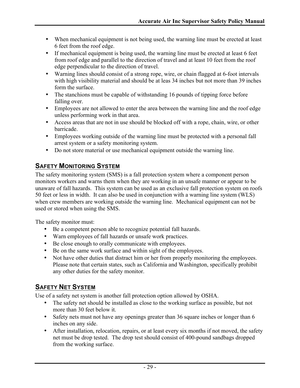- When mechanical equipment is not being used, the warning line must be erected at least 6 feet from the roof edge.
- If mechanical equipment is being used, the warning line must be erected at least 6 feet from roof edge and parallel to the direction of travel and at least 10 feet from the roof edge perpendicular to the direction of travel.
- Warning lines should consist of a strong rope, wire, or chain flagged at 6-foot intervals with high visibility material and should be at leas 34 inches but not more than 39 inches form the surface.
- The stanchions must be capable of withstanding 16 pounds of tipping force before falling over.
- Employees are not allowed to enter the area between the warning line and the roof edge unless performing work in that area.
- Access areas that are not in use should be blocked off with a rope, chain, wire, or other barricade.
- Employees working outside of the warning line must be protected with a personal fall arrest system or a safety monitoring system.
- Do not store material or use mechanical equipment outside the warning line.

### **SAFETY MONITORING SYSTEM**

The safety monitoring system (SMS) is a fall protection system where a component person monitors workers and warns them when they are working in an unsafe manner or appear to be unaware of fall hazards. This system can be used as an exclusive fall protection system on roofs 50 feet or less in width. It can also be used in conjunction with a warning line system (WLS) when crew members are working outside the warning line. Mechanical equipment can not be used or stored when using the SMS.

The safety monitor must:

- Be a competent person able to recognize potential fall hazards.
- Warn employees of fall hazards or unsafe work practices.
- Be close enough to orally communicate with employees.
- Be on the same work surface and within sight of the employees.
- Not have other duties that distract him or her from properly monitoring the employees. Please note that certain states, such as California and Washington, specifically prohibit any other duties for the safety monitor.

### **SAFETY NET SYSTEM**

Use of a safety net system is another fall protection option allowed by OSHA.

- The safety net should be installed as close to the working surface as possible, but not more than 30 feet below it.
- Safety nets must not have any openings greater than 36 square inches or longer than 6 inches on any side.
- After installation, relocation, repairs, or at least every six months if not moved, the safety net must be drop tested. The drop test should consist of 400-pound sandbags dropped from the working surface.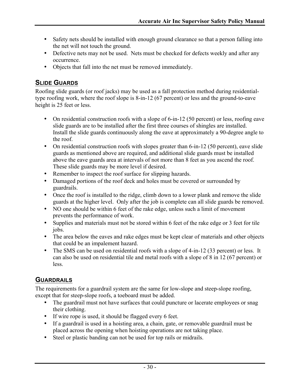- Safety nets should be installed with enough ground clearance so that a person falling into the net will not touch the ground.
- Defective nets may not be used. Nets must be checked for defects weekly and after any occurrence.
- Objects that fall into the net must be removed immediately.

### **SLIDE GUARDS**

Roofing slide guards (or roof jacks) may be used as a fall protection method during residentialtype roofing work, where the roof slope is 8-in-12 (67 percent) or less and the ground-to-eave height is 25 feet or less.

- On residential construction roofs with a slope of 6-in-12 (50 percent) or less, roofing eave slide guards are to be installed after the first three courses of shingles are installed. Install the slide guards continuously along the eave at approximately a 90-degree angle to the roof.
- On residential construction roofs with slopes greater than 6-in-12 (50 percent), eave slide guards as mentioned above are required, and additional slide guards must be installed above the eave guards area at intervals of not more than 8 feet as you ascend the roof. These slide guards may be more level if desired.
- Remember to inspect the roof surface for slipping hazards.
- Damaged portions of the roof deck and holes must be covered or surrounded by guardrails.
- Once the roof is installed to the ridge, climb down to a lower plank and remove the slide guards at the higher level. Only after the job is complete can all slide guards be removed.
- NO one should be within 6 feet of the rake edge, unless such a limit of movement prevents the performance of work.
- Supplies and materials must not be stored within 6 feet of the rake edge or 3 feet for tile jobs.
- The area below the eaves and rake edges must be kept clear of materials and other objects that could be an impalement hazard.
- The SMS can be used on residential roofs with a slope of 4-in-12 (33 percent) or less. It can also be used on residential tile and metal roofs with a slope of 8 in 12 (67 percent) or less.

### **GUARDRAILS**

The requirements for a guardrail system are the same for low-slope and steep-slope roofing, except that for steep-slope roofs, a toeboard must be added.

- The guardrail must not have surfaces that could puncture or lacerate employees or snag their clothing.
- If wire rope is used, it should be flagged every 6 feet.
- If a guardrail is used in a hoisting area, a chain, gate, or removable guardrail must be placed across the opening when hoisting operations are not taking place.
- Steel or plastic banding can not be used for top rails or midrails.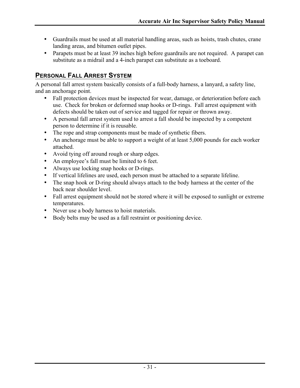- Guardrails must be used at all material handling areas, such as hoists, trash chutes, crane landing areas, and bitumen outlet pipes.
- Parapets must be at least 39 inches high before guardrails are not required. A parapet can substitute as a midrail and a 4-inch parapet can substitute as a toeboard.

### **PERSONAL FALL ARREST SYSTEM**

A personal fall arrest system basically consists of a full-body harness, a lanyard, a safety line, and an anchorage point.

- Fall protection devices must be inspected for wear, damage, or deterioration before each use. Check for broken or deformed snap hooks or D-rings. Fall arrest equipment with defects should be taken out of service and tagged for repair or thrown away.
- A personal fall arrest system used to arrest a fall should be inspected by a competent person to determine if it is reusable.
- The rope and strap components must be made of synthetic fibers.
- An anchorage must be able to support a weight of at least 5,000 pounds for each worker attached.
- Avoid tying off around rough or sharp edges.
- An employee's fall must be limited to 6 feet.
- Always use locking snap hooks or D-rings.
- If vertical lifelines are used, each person must be attached to a separate lifeline.
- The snap hook or D-ring should always attach to the body harness at the center of the back near shoulder level.
- Fall arrest equipment should not be stored where it will be exposed to sunlight or extreme temperatures.
- Never use a body harness to hoist materials.
- Body belts may be used as a fall restraint or positioning device.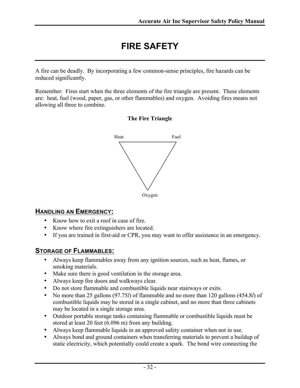# **FIRE SAFETY**

A fire can be deadly. By incorporating a few common-sense principles, fire hazards can be reduced significantly.

Remember: Fires start when the three elements of the fire triangle are present. These elements are: heat, fuel (wood, paper, gas, or other flammables) and oxygen. Avoiding fires means not allowing all three to combine.

**The Fire Triangle**



### **HANDLING AN EMERGENCY:**

- Know how to exit a roof in case of fire.
- Know where fire extinguishers are located.
- If you are trained in first-aid or CPR, you may want to offer assistance in an emergency.

### **STORAGE OF FLAMMABLES:**

- Always keep flammables away from any ignition sources, such as heat, flames, or smoking materials.
- Make sure there is good ventilation in the storage area.
- Always keep fire doors and walkways clear.
- Do not store flammable and combustible liquids near stairways or exits.
- No more than 25 gallons (97.75*l*) of flammable and no more than 120 gallons (454.8*l*) of combustible liquids may be stored in a single cabinet, and no more than three cabinets may be located in a single storage area.
- Outdoor portable storage tanks containing flammable or combustible liquids must be stored at least 20 feet (6.096 m) from any building.
- Always keep flammable liquids in an approved safety container when not in use.
- Always bond and ground containers when transferring materials to prevent a buildup of static electricity, which potentially could create a spark. The bond wire connecting the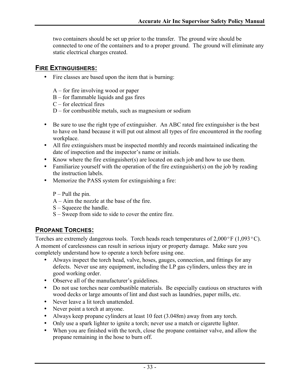two containers should be set up prior to the transfer. The ground wire should be connected to one of the containers and to a proper ground. The ground will eliminate any static electrical charges created.

### **FIRE EXTINGUISHERS:**

- Fire classes are based upon the item that is burning:
	- A for fire involving wood or paper
	- B for flammable liquids and gas fires
	- $C$  for electrical fires
	- D for combustible metals, such as magnesium or sodium
- Be sure to use the right type of extinguisher. An ABC rated fire extinguisher is the best to have on hand because it will put out almost all types of fire encountered in the roofing workplace.
- All fire extinguishers must be inspected monthly and records maintained indicating the date of inspection and the inspector's name or initials.
- Know where the fire extinguisher(s) are located on each job and how to use them.
- Familiarize yourself with the operation of the fire extinguisher(s) on the job by reading the instruction labels.
- Memorize the PASS system for extinguishing a fire:
	- $P -$  Pull the pin.
	- A Aim the nozzle at the base of the fire.
	- S Squeeze the handle.
	- S Sweep from side to side to cover the entire fire.

## **PROPANE TORCHES:**

Torches are extremely dangerous tools. Torch heads reach temperatures of  $2,000\textdegree F$  (1,093 $\textdegree C$ ). A moment of carelessness can result in serious injury or property damage. Make sure you completely understand how to operate a torch before using one.

- Always inspect the torch head, valve, hoses, gauges, connection, and fittings for any defects. Never use any equipment, including the LP gas cylinders, unless they are in good working order.
- Observe all of the manufacturer's guidelines.
- Do not use torches near combustible materials. Be especially cautious on structures with wood decks or large amounts of lint and dust such as laundries, paper mills, etc.
- Never leave a lit torch unattended.
- Never point a torch at anyone.
- Always keep propane cylinders at least 10 feet (3.048m) away from any torch.
- Only use a spark lighter to ignite a torch; never use a match or cigarette lighter.
- When you are finished with the torch, close the propane container valve, and allow the propane remaining in the hose to burn off.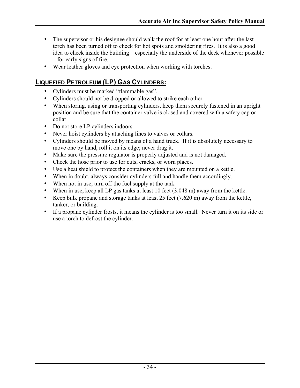- The supervisor or his designee should walk the roof for at least one hour after the last torch has been turned off to check for hot spots and smoldering fires. It is also a good idea to check inside the building – especially the underside of the deck whenever possible – for early signs of fire.
- Wear leather gloves and eye protection when working with torches.

### **LIQUEFIED PETROLEUM (LP) GAS CYLINDERS:**

- Cylinders must be marked "flammable gas".
- Cylinders should not be dropped or allowed to strike each other.
- When storing, using or transporting cylinders, keep them securely fastened in an upright position and be sure that the container valve is closed and covered with a safety cap or collar.
- Do not store LP cylinders indoors.
- Never hoist cylinders by attaching lines to valves or collars.
- Cylinders should be moved by means of a hand truck. If it is absolutely necessary to move one by hand, roll it on its edge; never drag it.
- Make sure the pressure regulator is properly adjusted and is not damaged.
- Check the hose prior to use for cuts, cracks, or worn places.
- Use a heat shield to protect the containers when they are mounted on a kettle.
- When in doubt, always consider cylinders full and handle them accordingly.
- When not in use, turn off the fuel supply at the tank.
- When in use, keep all LP gas tanks at least 10 feet (3.048 m) away from the kettle.
- Keep bulk propane and storage tanks at least 25 feet (7.620 m) away from the kettle, tanker, or building.
- If a propane cylinder frosts, it means the cylinder is too small. Never turn it on its side or use a torch to defrost the cylinder.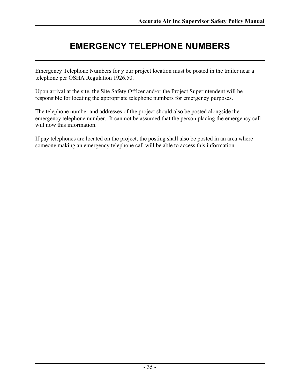# **EMERGENCY TELEPHONE NUMBERS**

Emergency Telephone Numbers for y our project location must be posted in the trailer near a telephone per OSHA Regulation 1926.50.

Upon arrival at the site, the Site Safety Officer and/or the Project Superintendent will be responsible for locating the appropriate telephone numbers for emergency purposes.

The telephone number and addresses of the project should also be posted alongside the emergency telephone number. It can not be assumed that the person placing the emergency call will now this information.

If pay telephones are located on the project, the posting shall also be posted in an area where someone making an emergency telephone call will be able to access this information.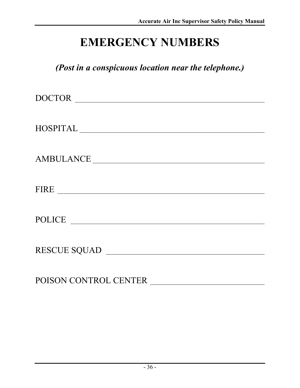# **EMERGENCY NUMBERS**

*(Post in a conspicuous location near the telephone.)*

| DOCTOR                                      |
|---------------------------------------------|
|                                             |
| $\begin{tabular}{c} HOSPITAL \end{tabular}$ |
|                                             |
|                                             |
| AMBULANCE                                   |
|                                             |
| FIRE                                        |
|                                             |
| POLICE                                      |
|                                             |
|                                             |
| RESCUE SQUAD                                |
|                                             |

POISON CONTROL CENTER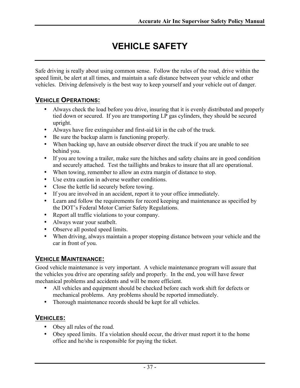# **VEHICLE SAFFTY**

Safe driving is really about using common sense. Follow the rules of the road, drive within the speed limit, be alert at all times, and maintain a safe distance between your vehicle and other vehicles. Driving defensively is the best way to keep yourself and your vehicle out of danger.

### **VEHICLE OPERATIONS:**

- Always check the load before you drive, insuring that it is evenly distributed and properly tied down or secured. If you are transporting LP gas cylinders, they should be secured upright.
- Always have fire extinguisher and first-aid kit in the cab of the truck.
- Be sure the backup alarm is functioning properly.
- When backing up, have an outside observer direct the truck if you are unable to see behind you.
- If you are towing a trailer, make sure the hitches and safety chains are in good condition and securely attached. Test the taillights and brakes to insure that all are operational.
- When towing, remember to allow an extra margin of distance to stop.
- Use extra caution in adverse weather conditions.
- Close the kettle lid securely before towing.
- If you are involved in an accident, report it to your office immediately.
- Learn and follow the requirements for record keeping and maintenance as specified by the DOT's Federal Motor Carrier Safety Regulations.
- Report all traffic violations to your company.
- Always wear your seatbelt.
- Observe all posted speed limits.
- When driving, always maintain a proper stopping distance between your vehicle and the car in front of you.

### **VEHICLE MAINTENANCE:**

Good vehicle maintenance is very important. A vehicle maintenance program will assure that the vehicles you drive are operating safely and properly. In the end, you will have fewer mechanical problems and accidents and will be more efficient.

- All vehicles and equipment should be checked before each work shift for defects or mechanical problems. Any problems should be reported immediately.
- Thorough maintenance records should be kept for all vehicles.

### **VEHICLES:**

- Obey all rules of the road.
- Obey speed limits. If a violation should occur, the driver must report it to the home office and he/she is responsible for paying the ticket.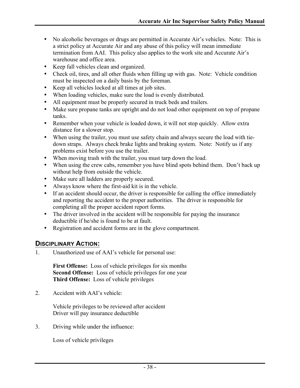- No alcoholic beverages or drugs are permitted in Accurate Air's vehicles. Note: This is a strict policy at Accurate Air and any abuse of this policy will mean immediate termination from AAI. This policy also applies to the work site and Accurate Air's warehouse and office area.
- Keep fall vehicles clean and organized.
- Check oil, tires, and all other fluids when filling up with gas. Note: Vehicle condition must be inspected on a daily basis by the foreman.
- Keep all vehicles locked at all times at job sites.
- When loading vehicles, make sure the load is evenly distributed.
- All equipment must be properly secured in truck beds and trailers.
- Make sure propane tanks are upright and do not load other equipment on top of propane tanks.
- Remember when your vehicle is loaded down, it will not stop quickly. Allow extra distance for a slower stop.
- When using the trailer, you must use safety chain and always secure the load with tiedown straps. Always check brake lights and braking system. Note: Notify us if any problems exist before you use the trailer.
- When moving trash with the trailer, you must tarp down the load.
- When using the crew cabs, remember you have blind spots behind them. Don't back up without help from outside the vehicle.
- Make sure all ladders are properly secured.
- Always know where the first-aid kit is in the vehicle.
- If an accident should occur, the driver is responsible for calling the office immediately and reporting the accident to the proper authorities. The driver is responsible for completing all the proper accident report forms.
- The driver involved in the accident will be responsible for paying the insurance deductible if he/she is found to be at fault.
- Registration and accident forms are in the glove compartment.

#### **DISCIPLINARY ACTION:**

1. Unauthorized use of AAI's vehicle for personal use:

**First Offense:** Loss of vehicle privileges for six months **Second Offense:** Loss of vehicle privileges for one year **Third Offense:** Loss of vehicle privileges

2. Accident with AAI's vehicle:

Vehicle privileges to be reviewed after accident Driver will pay insurance deductible

3. Driving while under the influence:

Loss of vehicle privileges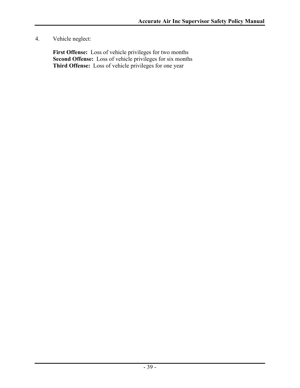4. Vehicle neglect:

**First Offense:** Loss of vehicle privileges for two months **Second Offense:** Loss of vehicle privileges for six months Third Offense: Loss of vehicle privileges for one year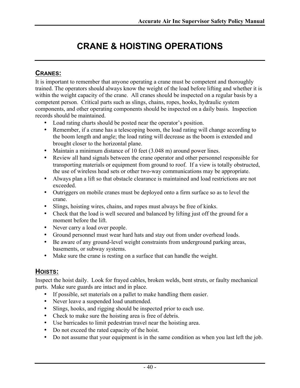# **CRANE & HOISTING OPERATIONS**

### **CRANES:**

It is important to remember that anyone operating a crane must be competent and thoroughly trained. The operators should always know the weight of the load before lifting and whether it is within the weight capacity of the crane. All cranes should be inspected on a regular basis by a competent person. Critical parts such as slings, chains, ropes, hooks, hydraulic system components, and other operating components should be inspected on a daily basis. Inspection records should be maintained.

- Load rating charts should be posted near the operator's position.
- Remember, if a crane has a telescoping boom, the load rating will change according to the boom length and angle; the load rating will decrease as the boom is extended and brought closer to the horizontal plane.
- Maintain a minimum distance of 10 feet (3.048 m) around power lines.
- Review all hand signals between the crane operator and other personnel responsible for transporting materials or equipment from ground to roof. If a view is totally obstructed, the use of wireless head sets or other two-way communications may be appropriate.
- Always plan a lift so that obstacle clearance is maintained and load restrictions are not exceeded.
- Outriggers on mobile cranes must be deployed onto a firm surface so as to level the crane.
- Slings, hoisting wires, chains, and ropes must always be free of kinks.
- Check that the load is well secured and balanced by lifting just off the ground for a moment before the lift.
- Never carry a load over people.
- Ground personnel must wear hard hats and stay out from under overhead loads.
- Be aware of any ground-level weight constraints from underground parking areas, basements, or subway systems.
- Make sure the crane is resting on a surface that can handle the weight.

### **HOISTS:**

Inspect the hoist daily. Look for frayed cables, broken welds, bent struts, or faulty mechanical parts. Make sure guards are intact and in place.

- If possible, set materials on a pallet to make handling them easier.
- Never leave a suspended load unattended.
- Slings, hooks, and rigging should be inspected prior to each use.
- Check to make sure the hoisting area is free of debris.
- Use barricades to limit pedestrian travel near the hoisting area.
- Do not exceed the rated capacity of the hoist.
- Do not assume that your equipment is in the same condition as when you last left the job.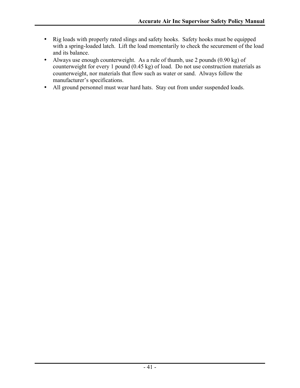- Rig loads with properly rated slings and safety hooks. Safety hooks must be equipped with a spring-loaded latch. Lift the load momentarily to check the securement of the load and its balance.
- Always use enough counterweight. As a rule of thumb, use 2 pounds (0.90 kg) of counterweight for every 1 pound (0.45 kg) of load. Do not use construction materials as counterweight, nor materials that flow such as water or sand. Always follow the manufacturer's specifications.
- All ground personnel must wear hard hats. Stay out from under suspended loads.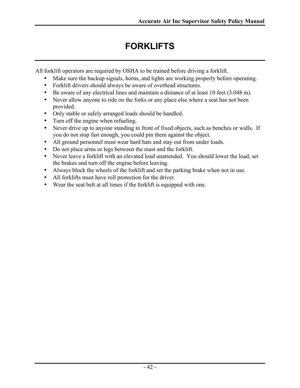# **FORKLIFTS**

All forklift operators are required by OSHA to be trained before driving a forklift.

- Make sure the backup signals, horns, and lights are working properly before operating.
- Forklift drivers should always be aware of overhead structures.
- Be aware of any electrical lines and maintain a distance of at least 10 feet (3.048 m).
- Never allow anyone to ride on the forks or any place else where a seat has not been provided.
- Only stable or safely arranged loads should be handled.
- Turn off the engine when refueling.
- Never drive up to anyone standing in front of fixed objects, such as benches or walls. If you do not stop fast enough, you could pin them against the object.
- All ground personnel must wear hard hats and stay out from under loads.
- Do not place arms or legs between the mast and the forklift.
- Never leave a forklift with an elevated load unattended. You should lower the load, set the brakes and turn off the engine before leaving.
- Always block the wheels of the forklift and set the parking brake when not in use.
- All forklifts must have roll protection for the driver.
- Wear the seat belt at all times if the forklift is equipped with one.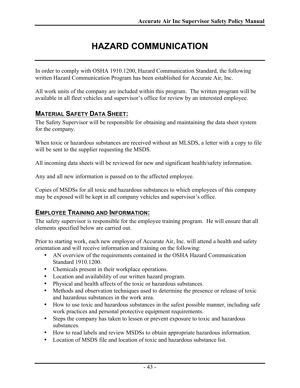# **HAZARD COMMUNICATION**

In order to comply with OSHA 1910.1200, Hazard Communication Standard, the following written Hazard Communication Program has been established for Accurate Air, Inc.

All work units of the company are included within this program. The written program will be available in all fleet vehicles and supervisor's office for review by an interested employee.

### **MATERIAL SAFETY DATA SHEET:**

The Safety Supervisor will be responsible for obtaining and maintaining the data sheet system for the company.

When toxic or hazardous substances are received without an MLSDS, a letter with a copy to file will be sent to the supplier requesting the MSDS.

All incoming data sheets will be reviewed for new and significant health/safety information.

Any and all new information is passed on to the affected employee.

Copies of MSDSs for all toxic and hazardous substances to which employees of this company may be exposed will be kept in all company vehicles and supervisor's office.

### **EMPLOYEE TRAINING AND INFORMATION:**

The safety supervisor is responsible for the employee training program. He will ensure that all elements specified below are carried out.

Prior to starting work, each new employee of Accurate Air, Inc. will attend a health and safety orientation and will receive information and training on the following:

- AN overview of the requirements contained in the OSHA Hazard Communication Standard 1910.1200.
- Chemicals present in their workplace operations.
- Location and availability of our written hazard program.
- Physical and health affects of the toxic or hazardous substances.
- Methods and observation techniques used to determine the presence or release of toxic and hazardous substances in the work area.
- How to use toxic and hazardous substances in the safest possible manner, including safe work practices and personal protective equipment requirements.
- Steps the company has taken to lessen or prevent exposure to toxic and hazardous substances.
- How to read labels and review MSDSs to obtain appropriate hazardous information.
- Location of MSDS file and location of toxic and hazardous substance list.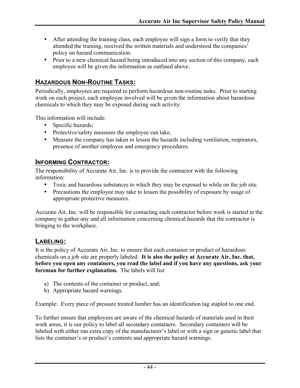- After attending the training class, each employee will sign a form to verify that they attended the training, received the written materials and understood the companies' policy on hazard communication.
- Prior to a new chemical hazard being introduced into any section of this company, each employee will be given the information as outlined above.

### **HAZARDOUS NON-ROUTINE TASKS:**

Periodically, employees are required to perform hazardous non-routine tasks. Prior to starting work on each project, each employee involved will be given the information about hazardous chemicals to which they may be exposed during such activity.

This information will include:

- Specific hazards;
- Protective/safety measures the employee can take;
- Measure the company has taken to lessen the hazards including ventilation, respirators, presence of another employee and emergency procedures.

#### **INFORMING CONTRACTOR:**

The responsibility of Accurate Air, Inc. is to provide the contractor with the following information:

- Toxic and hazardous substances to which they may be exposed to while on the job site.
- Precautions the employee may take to lessen the possibility of exposure by usage of appropriate protective measures.

Accurate Air, Inc. will be responsible for contacting each contractor before work is started in the company to gather any and all information concerning chemical hazards that the contractor is bringing to the workplace.

#### **LABELING:**

It is the policy of Accurate Air, Inc. to ensure that each container or product of hazardous chemicals on a job site are properly labeled. **It is also the policy at Accurate Air, Inc. that, before you open any containers, you read the label and if you have any questions, ask your foreman for further explanation.** The labels will list:

- a) The contents of the container or product, and;
- b) Appropriate hazard warnings.

Example: Every piece of pressure treated lumber has an identification tag stapled to one end.

To further ensure that employees are aware of the chemical hazards of materials used in their work areas, it is our policy to label all secondary containers. Secondary containers will be labeled with either ran extra copy of the manufacturer's label or with a sign or generic label that lists the container's or product's contents and appropriate hazard warnings.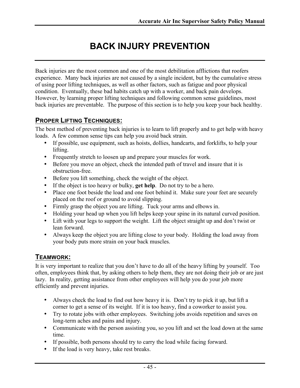# **BACK INJURY PREVENTION**

Back injuries are the most common and one of the most debilitation afflictions that roofers experience. Many back injuries are not caused by a single incident, but by the cumulative stress of using poor lifting techniques, as well as other factors, such as fatigue and poor physical condition. Eventually, these bad habits catch up with a worker, and back pain develops. However, by learning proper lifting techniques and following common sense guidelines, most back injuries are preventable. The purpose of this section is to help you keep your back healthy.

### **PROPER LIFTING TECHNIQUES:**

The best method of preventing back injuries is to learn to lift properly and to get help with heavy loads. A few common sense tips can help you avoid back strain.

- If possible, use equipment, such as hoists, dollies, handcarts, and forklifts, to help your lifting.
- Frequently stretch to loosen up and prepare your muscles for work.
- Before you move an object, check the intended path of travel and insure that it is obstruction-free.
- Before you lift something, check the weight of the object.
- If the object is too heavy or bulky, **get help**. Do not try to be a hero.
- Place one foot beside the load and one foot behind it. Make sure your feet are securely placed on the roof or ground to avoid slipping.
- Firmly grasp the object you are lifting. Tuck your arms and elbows in.
- Holding your head up when you lift helps keep your spine in its natural curved position.
- Lift with your legs to support the weight. Lift the object straight up and don't twist or lean forward.
- Always keep the object you are lifting close to your body. Holding the load away from your body puts more strain on your back muscles.

### **TEAMWORK:**

It is very important to realize that you don't have to do all of the heavy lifting by yourself. Too often, employees think that, by asking others to help them, they are not doing their job or are just lazy. In reality, getting assistance from other employees will help you do your job more efficiently and prevent injuries.

- Always check the load to find out how heavy it is. Don't try to pick it up, but lift a corner to get a sense of its weight. If it is too heavy, find a coworker to assist you.
- Try to rotate jobs with other employees. Switching jobs avoids repetition and saves on long-term aches and pains and injury.
- Communicate with the person assisting you, so you lift and set the load down at the same time.
- If possible, both persons should try to carry the load while facing forward.
- If the load is very heavy, take rest breaks.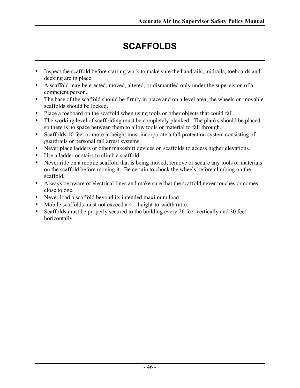# **SCAFFOLDS**

- Inspect the scaffold before starting work to make sure the handrails, midrails, toeboards and decking are in place.
- A scaffold may be erected, moved, altered, or dismantled only under the supervision of a competent person.
- The base of the scaffold should be firmly in place and on a level area; the wheels on movable scaffolds should be locked.
- Place a toeboard on the scaffold when using tools or other objects that could fall.
- The working level of scaffolding must be completely planked. The planks should be placed so there is no space between them to allow tools or material to fall through.
- Scaffolds 10 feet or more in height must incorporate a fall protection system consisting of guardrails or personal fall arrest systems.
- Never place ladders or other makeshift devices on scaffolds to access higher elevations.
- Use a ladder or stairs to climb a scaffold.
- Never ride on a mobile scaffold that is being moved; remove or secure any tools or materials on the scaffold before moving it. Be certain to chock the wheels before climbing on the scaffold.
- Always be aware of electrical lines and make sure that the scaffold never touches or comes close to one.
- Never load a scaffold beyond its intended maximum load.
- Mobile scaffolds must not exceed a 4:1 height-to-width ratio.
- Scaffolds must be properly secured to the building every 26 feet vertically and 30 feet horizontally.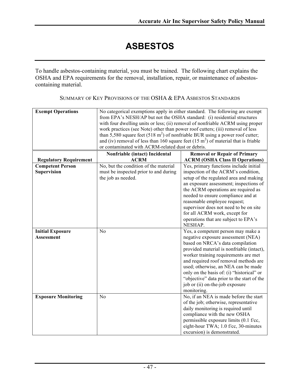# **ASBESTOS**

To handle asbestos-containing material, you must be trained. The following chart explains the OSHA and EPA requirements for the removal, installation, repair, or maintenance of asbestoscontaining material.

| SUMMARY OF KEY PROVISIONS OF THE OSHA & EPA ASBESTOS STANDARDS |  |
|----------------------------------------------------------------|--|
|----------------------------------------------------------------|--|

| <b>Exempt Operations</b>      | from EPA's NESH/AP but not the OSHA standard: (i) residential structures<br>work practices (see Note) other than power roof cutters; (iii) removal of less<br>than 5,580 square feet (518 $m2$ ) of nonfriable BUR using a power roof cutter;<br>and (iv) removal of less than 160 square feet $(15 \text{ m}^2)$ of material that is friable<br>or contaminated with ACRM-related dust or debris. | No categorical exemptions apply in either standard. The following are exempt<br>with four dwelling units or less; (ii) removal of nonfriable ACRM using proper |
|-------------------------------|----------------------------------------------------------------------------------------------------------------------------------------------------------------------------------------------------------------------------------------------------------------------------------------------------------------------------------------------------------------------------------------------------|----------------------------------------------------------------------------------------------------------------------------------------------------------------|
|                               | Nonfriable (intact) Incidental                                                                                                                                                                                                                                                                                                                                                                     | <b>Removal or Repair of Primary</b>                                                                                                                            |
| <b>Regulatory Requirement</b> | <b>ACRM</b>                                                                                                                                                                                                                                                                                                                                                                                        | <b>ACRM (OSHA Class II Operations)</b>                                                                                                                         |
| <b>Competent Person</b>       | No, but the condition of the material                                                                                                                                                                                                                                                                                                                                                              | Yes, primary functions include initial                                                                                                                         |
| <b>Supervision</b>            | must be inspected prior to and during                                                                                                                                                                                                                                                                                                                                                              | inspection of the ACRM's condition,                                                                                                                            |
|                               | the job as needed.                                                                                                                                                                                                                                                                                                                                                                                 | setup of the regulated area and making                                                                                                                         |
|                               |                                                                                                                                                                                                                                                                                                                                                                                                    | an exposure assessment; inspections of                                                                                                                         |
|                               |                                                                                                                                                                                                                                                                                                                                                                                                    | the ACRM operations are required as                                                                                                                            |
|                               |                                                                                                                                                                                                                                                                                                                                                                                                    | needed to ensure compliance and at                                                                                                                             |
|                               |                                                                                                                                                                                                                                                                                                                                                                                                    | reasonable employee request;                                                                                                                                   |
|                               |                                                                                                                                                                                                                                                                                                                                                                                                    | supervisor does not need to be on site                                                                                                                         |
|                               |                                                                                                                                                                                                                                                                                                                                                                                                    | for all ACRM work, except for                                                                                                                                  |
|                               |                                                                                                                                                                                                                                                                                                                                                                                                    | operations that are subject to EPA's                                                                                                                           |
|                               |                                                                                                                                                                                                                                                                                                                                                                                                    | NESHAP.                                                                                                                                                        |
| <b>Initial Exposure</b>       | No                                                                                                                                                                                                                                                                                                                                                                                                 | Yes, a competent person may make a                                                                                                                             |
| <b>Assessment</b>             |                                                                                                                                                                                                                                                                                                                                                                                                    | negative exposure assessment (NEA)                                                                                                                             |
|                               |                                                                                                                                                                                                                                                                                                                                                                                                    | based on NRCA's data compilation                                                                                                                               |
|                               |                                                                                                                                                                                                                                                                                                                                                                                                    | provided material is nonfriable (intact),<br>worker training requirements are met                                                                              |
|                               |                                                                                                                                                                                                                                                                                                                                                                                                    | and required roof removal methods are                                                                                                                          |
|                               |                                                                                                                                                                                                                                                                                                                                                                                                    | used; otherwise, an NEA can be made                                                                                                                            |
|                               |                                                                                                                                                                                                                                                                                                                                                                                                    | only on the basis of: (i) "historical" or                                                                                                                      |
|                               |                                                                                                                                                                                                                                                                                                                                                                                                    | "objective" data prior to the start of the                                                                                                                     |
|                               |                                                                                                                                                                                                                                                                                                                                                                                                    | job or (ii) on-the-job exposure                                                                                                                                |
|                               |                                                                                                                                                                                                                                                                                                                                                                                                    | monitoring.                                                                                                                                                    |
| <b>Exposure Monitoring</b>    | N <sub>o</sub>                                                                                                                                                                                                                                                                                                                                                                                     | No, if an NEA is made before the start                                                                                                                         |
|                               |                                                                                                                                                                                                                                                                                                                                                                                                    | of the job; otherwise, representative                                                                                                                          |
|                               |                                                                                                                                                                                                                                                                                                                                                                                                    | daily monitoring is required until                                                                                                                             |
|                               |                                                                                                                                                                                                                                                                                                                                                                                                    | compliance with the new OSHA                                                                                                                                   |
|                               |                                                                                                                                                                                                                                                                                                                                                                                                    | permissible exposure limits (0.1 f/cc,                                                                                                                         |
|                               |                                                                                                                                                                                                                                                                                                                                                                                                    | eight-hour TWA; 1.0 f/cc, 30-minutes                                                                                                                           |
|                               |                                                                                                                                                                                                                                                                                                                                                                                                    | excursion) is demonstrated.                                                                                                                                    |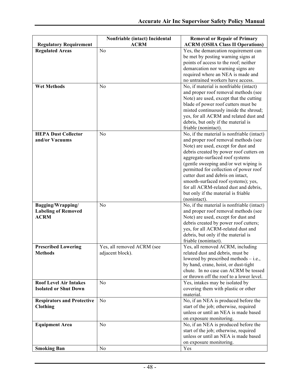|                                                 | Nonfriable (intact) Incidental | <b>Removal or Repair of Primary</b>                                                |
|-------------------------------------------------|--------------------------------|------------------------------------------------------------------------------------|
| <b>Regulatory Requirement</b>                   | <b>ACRM</b>                    | <b>ACRM (OSHA Class II Operations)</b>                                             |
| <b>Regulated Areas</b>                          | No                             | Yes, the demarcation requirement can                                               |
|                                                 |                                | be met by posting warning signs at                                                 |
|                                                 |                                | points of access to the roof; neither                                              |
|                                                 |                                | demarcation nor warning signs are                                                  |
|                                                 |                                | required where an NEA is made and                                                  |
|                                                 |                                | no untrained workers have access.                                                  |
| <b>Wet Methods</b>                              | N <sub>0</sub>                 | No, if material is nonfriable (intact)                                             |
|                                                 |                                | and proper roof removal methods (see                                               |
|                                                 |                                | Note) are used, except that the cutting                                            |
|                                                 |                                | blade of power roof cutters must be                                                |
|                                                 |                                | misted continuously inside the shroud;                                             |
|                                                 |                                | yes, for all ACRM and related dust and                                             |
|                                                 |                                | debris, but only if the material is                                                |
|                                                 |                                | friable (nonintact).                                                               |
| <b>HEPA Dust Collector</b>                      | N <sub>o</sub>                 | No, if the material is nonfriable (intact)                                         |
| and/or Vacuums                                  |                                | and proper roof removal methods (see                                               |
|                                                 |                                | Note) are used, except for dust and                                                |
|                                                 |                                | debris created by power roof cutters on                                            |
|                                                 |                                | aggregate-surfaced roof systems                                                    |
|                                                 |                                | (gentle sweeping and/or wet wiping is                                              |
|                                                 |                                | permitted for collection of power roof                                             |
|                                                 |                                | cutter dust and debris on intact,                                                  |
|                                                 |                                | smooth-surfaced roof systems); yes,                                                |
|                                                 |                                | for all ACRM-related dust and debris,                                              |
|                                                 |                                | but only if the material is friable                                                |
|                                                 | N <sub>o</sub>                 | (nonintact).                                                                       |
| Bagging/Wrapping/<br><b>Labeling of Removed</b> |                                | No, if the material is nonfriable (intact)<br>and proper roof removal methods (see |
| <b>ACRM</b>                                     |                                | Note) are used, except for dust and                                                |
|                                                 |                                | debris created by power roof cutters;                                              |
|                                                 |                                | yes, for all ACRM-related dust and                                                 |
|                                                 |                                | debris, but only if the material is                                                |
|                                                 |                                | friable (nonintact).                                                               |
| <b>Prescribed Lowering</b>                      | Yes, all removed ACRM (see     | Yes, all removed ACRM, including                                                   |
| <b>Methods</b>                                  | adjacent block).               | related dust and debris, must be                                                   |
|                                                 |                                | lowered by prescribed methods $-$ i.e.,                                            |
|                                                 |                                | by hand, crane, hoist, or dust-tight                                               |
|                                                 |                                | chute. In no case can ACRM be tossed                                               |
|                                                 |                                | or thrown off the roof to a lower level.                                           |
| <b>Roof Level Air Intakes</b>                   | N <sub>o</sub>                 | Yes, intakes may be isolated by                                                    |
| <b>Isolated or Shut Down</b>                    |                                | covering them with plastic or other                                                |
|                                                 |                                | material.                                                                          |
| <b>Respirators and Protective</b>               | N <sub>o</sub>                 | No, if an NEA is produced before the                                               |
| <b>Clothing</b>                                 |                                | start of the job; otherwise, required                                              |
|                                                 |                                | unless or until an NEA is made based                                               |
|                                                 |                                | on exposure monitoring.                                                            |
| <b>Equipment Area</b>                           | N <sub>o</sub>                 | No, if an NEA is produced before the                                               |
|                                                 |                                | start of the job; otherwise, required                                              |
|                                                 |                                | unless or until an NEA is made based                                               |
|                                                 |                                | on exposure monitoring.                                                            |
| <b>Smoking Ban</b>                              | No                             | Yes                                                                                |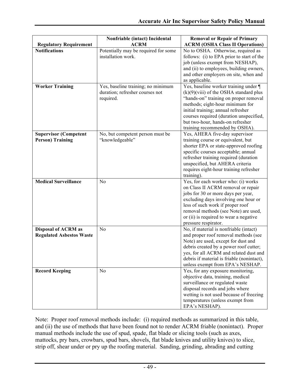|                                 | Nonfriable (intact) Incidental       | <b>Removal or Repair of Primary</b>                |
|---------------------------------|--------------------------------------|----------------------------------------------------|
| <b>Regulatory Requirement</b>   | <b>ACRM</b>                          | <b>ACRM (OSHA Class II Operations)</b>             |
| <b>Notifications</b>            | Potentially may be required for some | No to OSHA. Otherwise, required as                 |
|                                 | installation work.                   | follows: (i) to EPA prior to start of the          |
|                                 |                                      | job (unless exempt from NESHAP),                   |
|                                 |                                      | and (ii) to employees, building owners,            |
|                                 |                                      | and other employers on site, when and              |
|                                 |                                      | as applicable.                                     |
| <b>Worker Training</b>          | Yes, baseline training; no minimum   | Yes, baseline worker training under ¶              |
|                                 | duration; refresher courses not      | $(k)(9)(viii)$ of the OSHA standard plus           |
|                                 | required.                            | "hands-on" training on proper removal              |
|                                 |                                      | methods; eight-hour minimum for                    |
|                                 |                                      | initial training; annual refresher                 |
|                                 |                                      | courses required (duration unspecified,            |
|                                 |                                      | but two-hour, hands-on refresher                   |
|                                 |                                      | training recommended by OSHA).                     |
| <b>Supervisor (Competent</b>    | No, but competent person must be     | Yes, AHERA five-day supervisor                     |
| <b>Person) Training</b>         | "knowledgeable"                      | training course or equivalent, but                 |
|                                 |                                      | shorter EPA or state-approved roofing              |
|                                 |                                      | specific courses acceptable; annual                |
|                                 |                                      | refresher training required (duration              |
|                                 |                                      | unspecified, but AHERA criteria                    |
|                                 |                                      | requires eight-hour training refresher             |
|                                 |                                      | training).                                         |
| <b>Medical Surveillance</b>     | N <sub>o</sub>                       | Yes, for each worker who: (i) works                |
|                                 |                                      | on Class II ACRM removal or repair                 |
|                                 |                                      | jobs for 30 or more days per year,                 |
|                                 |                                      | excluding days involving one hour or               |
|                                 |                                      | less of such work if proper roof                   |
|                                 |                                      | removal methods (see Note) are used,               |
|                                 |                                      | or (ii) is required to wear a negative             |
|                                 |                                      | pressure respirator.                               |
| <b>Disposal of ACRM as</b>      | N <sub>o</sub>                       | No, if material is nonfriable (intact)             |
| <b>Regulated Asbestos Waste</b> |                                      | and proper roof removal methods (see               |
|                                 |                                      | Note) are used, except for dust and                |
|                                 |                                      | debris created by a power roof cutter;             |
|                                 |                                      | ves for all ACRM and related dust and              |
|                                 |                                      | debris if material is friable (nonintact),         |
|                                 |                                      | unless exempt from EPA's NESHAP.                   |
| <b>Record Keeping</b>           | N <sub>o</sub>                       | Yes, for any exposure monitoring,                  |
|                                 |                                      | objective data, training, medical                  |
|                                 |                                      | surveillance or regulated waste                    |
|                                 |                                      | disposal records and jobs where                    |
|                                 |                                      | wetting is not used because of freezing            |
|                                 |                                      | temperatures (unless exempt from<br>EPA's NESHAP). |
|                                 |                                      |                                                    |

Note: Proper roof removal methods include: (i) required methods as summarized in this table, and (ii) the use of methods that have been found not to render ACRM friable (nonintact). Proper manual methods include the use of spud, spade, flat blade or slicing tools (such as axes, mattocks, pry bars, crowbars, spud bars, shovels, flat blade knives and utility knives) to slice, strip off, shear under or pry up the roofing material. Sanding, grinding, abrading and cutting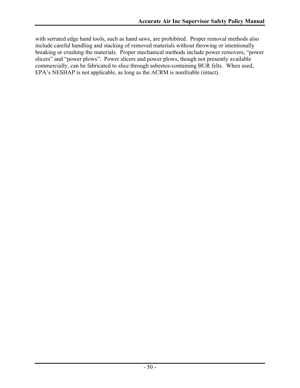with serrated edge hand tools, such as hand saws, are prohibited. Proper removal methods also include careful handling and stacking of removed materials without throwing or intentionally breaking or crushing the materials. Proper mechanical methods include power removers, "power slicers" and "power plows". Power slicers and power plows, though not presently available commercially, can be fabricated to slice through asbestos-containing BUR felts. When used, EPA's NESHAP is not applicable, as long as the ACRM is nonfriable (intact).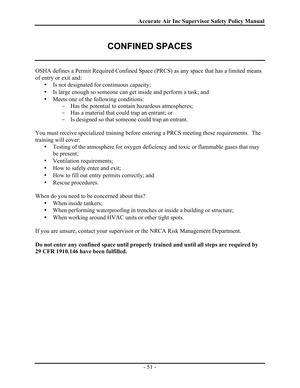# **CONFINED SPACES**

OSHA defines a Permit Required Confined Space (PRCS) as any space that has a limited means of entry or exit and:

- Is not designated for continuous capacity;
- Is large enough so someone can get inside and perform a task; and
- Meets one of the following conditions:
	- Has the potential to contain hazardous atmospheres;
	- Has a material that could trap an entrant; or
	- Is designed so that someone could trap an entrant.

You must receive specialized training before entering a PRCS meeting these requirements. The training will cover:

- Testing of the atmosphere for oxygen deficiency and toxic or flammable gases that may be present;
- Ventilation requirements;
- How to safely enter and exit;
- How to fill out entry permits correctly; and
- Rescue procedures.

When do you need to be concerned about this?

- When inside tankers;
- When performing waterproofing in trenches or inside a building or structure;
- When working around HVAC units or other tight spots.

If you are unsure, contact your supervisor or the NRCA Risk Management Department.

#### **Do not enter any confined space until properly trained and until all steps are required by 29 CFR 1910.146 have been fulfilled.**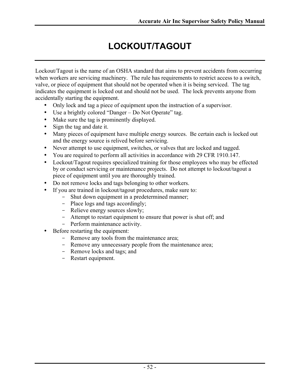# **LOCKOUT/TAGOUT**

Lockout/Tagout is the name of an OSHA standard that aims to prevent accidents from occurring when workers are servicing machinery. The rule has requirements to restrict access to a switch, valve, or piece of equipment that should not be operated when it is being serviced. The tag indicates the equipment is locked out and should not be used. The lock prevents anyone from accidentally starting the equipment.

- Only lock and tag a piece of equipment upon the instruction of a supervisor.
- Use a brightly colored "Danger Do Not Operate" tag.
- Make sure the tag is prominently displayed.
- Sign the tag and date it.
- Many pieces of equipment have multiple energy sources. Be certain each is locked out and the energy source is relived before servicing.
- Never attempt to use equipment, switches, or valves that are locked and tagged.
- You are required to perform all activities in accordance with 29 CFR 1910.147.
- Lockout/Tagout requires specialized training for those employees who may be effected by or conduct servicing or maintenance projects. Do not attempt to lockout/tagout a piece of equipment until you are thoroughly trained.
- Do not remove locks and tags belonging to other workers.
- If you are trained in lockout/tagout procedures, make sure to:
	- Shut down equipment in a predetermined manner;
	- Place logs and tags accordingly;
	- Relieve energy sources slowly;
	- Attempt to restart equipment to ensure that power is shut off; and
	- Perform maintenance activity.
- Before restarting the equipment:
	- Remove any tools from the maintenance area;
	- Remove any unnecessary people from the maintenance area;
	- Remove locks and tags; and
	- Restart equipment.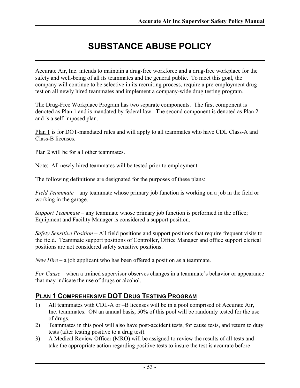# **SUBSTANCE ABUSE POLICY**

Accurate Air, Inc. intends to maintain a drug-free workforce and a drug-free workplace for the safety and well-being of all its teammates and the general public. To meet this goal, the company will continue to be selective in its recruiting process, require a pre-employment drug test on all newly hired teammates and implement a company-wide drug testing program.

The Drug-Free Workplace Program has two separate components. The first component is denoted as Plan 1 and is mandated by federal law. The second component is denoted as Plan 2 and is a self-imposed plan.

Plan 1 is for DOT-mandated rules and will apply to all teammates who have CDL Class-A and Class-B licenses.

Plan 2 will be for all other teammates.

Note: All newly hired teammates will be tested prior to employment.

The following definitions are designated for the purposes of these plans:

*Field Teammate* – any teammate whose primary job function is working on a job in the field or working in the garage.

*Support Teammate* – any teammate whose primary job function is performed in the office; Equipment and Facility Manager is considered a support position.

*Safety Sensitive Position* – All field positions and support positions that require frequent visits to the field. Teammate support positions of Controller, Office Manager and office support clerical positions are not considered safety sensitive positions.

*New Hire* – a job applicant who has been offered a position as a teammate.

*For Cause* – when a trained supervisor observes changes in a teammate's behavior or appearance that may indicate the use of drugs or alcohol.

### **PLAN 1 COMPREHENSIVE DOT DRUG TESTING PROGRAM**

- 1) All teammates with CDL-A or –B licenses will be in a pool comprised of Accurate Air, Inc. teammates. ON an annual basis, 50% of this pool will be randomly tested for the use of drugs.
- 2) Teammates in this pool will also have post-accident tests, for cause tests, and return to duty tests (after testing positive to a drug test).
- 3) A Medical Review Officer (MRO) will be assigned to review the results of all tests and take the appropriate action regarding positive tests to insure the test is accurate before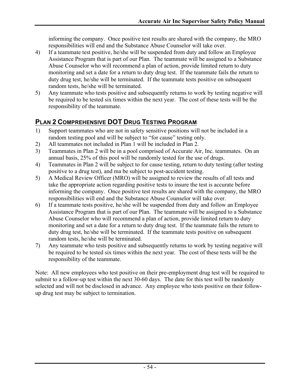informing the company. Once positive test results are shared with the company, the MRO responsibilities will end and the Substance Abuse Counselor will take over.

- 4) If a teammate test positive, he/she will be suspended from duty and follow an Employee Assistance Program that is part of our Plan. The teammate will be assigned to a Substance Abuse Counselor who will recommend a plan of action, provide limited return to duty monitoring and set a date for a return to duty drug test. If the teammate fails the return to duty drug test, he/she will be terminated. If the teammate tests positive on subsequent random tests, he/she will be terminated.
- 5) Any teammate who tests positive and subsequently returns to work by testing negative will be required to be tested six times within the next year. The cost of these tests will be the responsibility of the teammate.

### **PLAN 2 COMPREHENSIVE DOT DRUG TESTING PROGRAM**

- 1) Support teammates who are not in safety sensitive positions will not be included in a random testing pool and will be subject to "for cause" testing only.
- 2) All teammates not included in Plan 1 will be included in Plan 2.
- 3) Teammates in Plan 2 will be in a pool comprised of Accurate Air, Inc. teammates. On an annual basis, 25% of this pool will be randomly tested for the use of drugs.
- 4) Teammates in Plan 2 will be subject to for cause testing, return to duty testing (after testing positive to a drug test), and ma be subject to post-accident testing.
- 5) A Medical Review Officer (MRO) will be assigned to review the results of all tests and take the appropriate action regarding positive tests to insure the test is accurate before informing the company. Once positive test results are shared with the company, the MRO responsibilities will end and the Substance Abuse Counselor will take over.
- 6) If a teammate tests positive, he/she will be suspended from duty and follow an Employee Assistance Program that is part of our Plan. The teammate will be assigned to a Substance Abuse Counselor who will recommend a plan of action, provide limited return to duty monitoring and set a date for a return to duty drug test. If the teammate fails the return to duty drug test, he/she will be terminated. If the teammate tests positive on subsequent random tests, he/she will be terminated.
- 7) Any teammate who tests positive and subsequently returns to work by testing negative will be required to be tested six times within the next year. The cost of these tests will be the responsibility of the teammate.

Note: All new employees who test positive on their pre-employment drug test will be required to submit to a follow-up test within the next 30-60 days. The date for this test will be randomly selected and will not be disclosed in advance. Any employee who tests positive on their followup drug test may be subject to termination.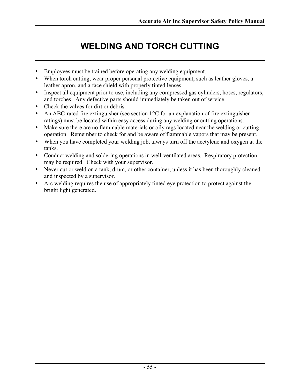# **WELDING AND TORCH CUTTING**

- Employees must be trained before operating any welding equipment.
- When torch cutting, wear proper personal protective equipment, such as leather gloves, a leather apron, and a face shield with properly tinted lenses.
- Inspect all equipment prior to use, including any compressed gas cylinders, hoses, regulators, and torches. Any defective parts should immediately be taken out of service.
- Check the valves for dirt or debris.
- An ABC-rated fire extinguisher (see section 12C for an explanation of fire extinguisher ratings) must be located within easy access during any welding or cutting operations.
- Make sure there are no flammable materials or oily rags located near the welding or cutting operation. Remember to check for and be aware of flammable vapors that may be present.
- When you have completed your welding job, always turn off the acetylene and oxygen at the tanks.
- Conduct welding and soldering operations in well-ventilated areas. Respiratory protection may be required. Check with your supervisor.
- Never cut or weld on a tank, drum, or other container, unless it has been thoroughly cleaned and inspected by a supervisor.
- Arc welding requires the use of appropriately tinted eye protection to protect against the bright light generated.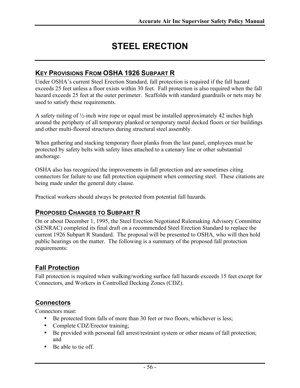# **STEEL ERECTION**

#### **KEY PROVISIONS FROM OSHA 1926 SUBPART R**

Under OSHA's current Steel Erection Standard, fall protection is required if the fall hazard exceeds 25 feet unless a floor exists within 30 feet. Fall protection is also required when the fall hazard exceeds 25 feet at the outer perimeter. Scaffolds with standard guardrails or nets may be used to satisfy these requirements.

A safety railing of ½-inch wire rope or equal must be installed approximately 42 inches high around the periphery of all temporary planked or temporary metal decked floors or tier buildings and other multi-floored structures during structural steel assembly.

When gathering and stacking temporary floor planks from the last panel, employees must be protected by safety belts with safety lines attached to a catenary line or other substantial anchorage.

OSHA also has recognized the improvements in fall protection and are sometimes citing connectors for failure to use fall protection equipment when connecting steel. These citations are being made under the general duty clause.

Practical workers should always be protected from potential fall hazards.

### **PROPOSED CHANGES TO SUBPART R**

On or about December 1, 1995, the Steel Erection Negotiated Rulemaking Advisory Committee (SENRAC) completed its final draft on a recommended Steel Erection Standard to replace the current 1926 Subpart R Standard. The proposal will be presented to OSHA, who will then hold public hearings on the matter. The following is a summary of the proposed fall protection requirements:

#### **Fall Protection**

Fall protection is required when walking/working surface fall hazards exceeds 15 feet except for Connectors, and Workers in Controlled Decking Zones (CDZ).

#### **Connectors**

Connectors must:

- Be protected from falls of more than 30 feet or two floors, whichever is less;
- Complete CDZ/Erector training;
- Be provided with personal fall arrest/restraint system or other means of fall protection; and
- Be able to tie off.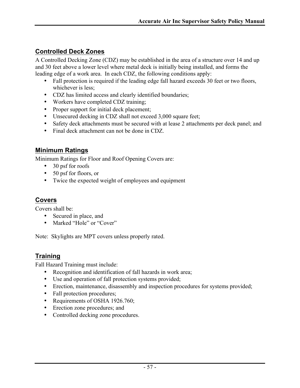### **Controlled Deck Zones**

A Controlled Decking Zone (CDZ) may be established in the area of a structure over 14 and up and 30 feet above a lower level where metal deck is initially being installed, and forms the leading edge of a work area. In each CDZ, the following conditions apply:

- Fall protection is required if the leading edge fall hazard exceeds 30 feet or two floors, whichever is less;
- CDZ has limited access and clearly identified boundaries;
- Workers have completed CDZ training;
- Proper support for initial deck placement;
- Unsecured decking in CDZ shall not exceed 3,000 square feet;
- Safety deck attachments must be secured with at lease 2 attachments per deck panel; and
- Final deck attachment can not be done in CDZ.

### **Minimum Ratings**

Minimum Ratings for Floor and Roof Opening Covers are:

- 30 psf for roofs
- 50 psf for floors, or
- Twice the expected weight of employees and equipment

### **Covers**

Covers shall be:

- Secured in place, and
- Marked "Hole" or "Cover"

Note: Skylights are MPT covers unless properly rated.

### **Training**

Fall Hazard Training must include:

- Recognition and identification of fall hazards in work area;
- Use and operation of fall protection systems provided;
- Erection, maintenance, disassembly and inspection procedures for systems provided;
- Fall protection procedures;
- Requirements of OSHA 1926.760;
- Erection zone procedures; and
- Controlled decking zone procedures.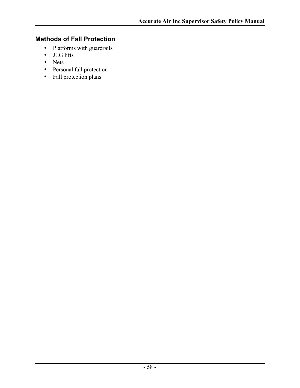### **Methods of Fall Protection**

- Platforms with guardrails
- JLG lifts
- Nets
- Personal fall protection
- Fall protection plans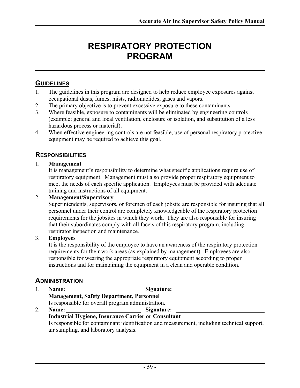# **RESPIRATORY PROTECTION PROGRAM**

### **GUIDELINES**

- 1. The guidelines in this program are designed to help reduce employee exposures against occupational dusts, fumes, mists, radionuclides, gases and vapors.
- 2. The primary objective is to prevent excessive exposure to these contaminants.
- 3. Where feasible, exposure to contaminants will be eliminated by engineering controls (example; general and local ventilation, enclosure or isolation, and substitution of a less hazardous process or material).
- 4. When effective engineering controls are not feasible, use of personal respiratory protective equipment may be required to achieve this goal.

### **RESPONSIBILITIES**

#### 1. **Management**

It is management's responsibility to determine what specific applications require use of respiratory equipment. Management must also provide proper respiratory equipment to meet the needs of each specific application. Employees must be provided with adequate training and instructions of all equipment.

#### 2. **Management/Supervisory**

Superintendents, supervisors, or foremen of each jobsite are responsible for insuring that all personnel under their control are completely knowledgeable of the respiratory protection requirements for the jobsites in which they work. They are also responsible for insuring that their subordinates comply with all facets of this respiratory program, including respirator inspection and maintenance.

#### 3. **Employees**

It is the responsibility of the employee to have an awareness of the respiratory protection requirements for their work areas (as explained by management). Employees are also responsible for wearing the appropriate respiratory equipment according to proper instructions and for maintaining the equipment in a clean and operable condition.

### **ADMINISTRATION**

|  | <b>Name:</b>                                       | Signature:                                                                                  |  |
|--|----------------------------------------------------|---------------------------------------------------------------------------------------------|--|
|  | <b>Management, Safety Department, Personnel</b>    |                                                                                             |  |
|  | Is responsible for overall program administration. |                                                                                             |  |
|  | <b>Name:</b>                                       | Signature:                                                                                  |  |
|  |                                                    | <b>Industrial Hygiene, Insurance Carrier or Consultant</b>                                  |  |
|  |                                                    | Is responsible for contaminant identification and measurement, including technical support, |  |
|  | air sampling, and laboratory analysis.             |                                                                                             |  |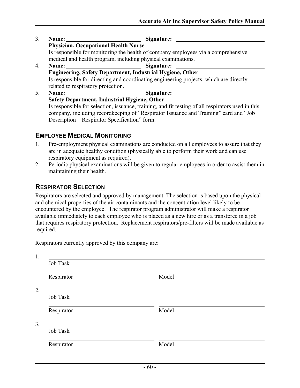- 3. **Name: Signature: Physician, Occupational Health Nurse** Is responsible for monitoring the health of company employees via a comprehensive medical and health program, including physical examinations. 4. **Name: Signature:**
- **Engineering, Safety Department, Industrial Hygiene, Other** Is responsible for directing and coordinating engineering projects, which are directly related to respiratory protection.
- 5. **Name: Signature: Safety Department, Industrial Hygiene, Other** Is responsible for selection, issuance, training, and fit testing of all respirators used in this company, including recordkeeping of "Respirator Issuance and Training" card and "Job Description – Respirator Specification" form.

#### **EMPLOYEE MEDICAL MONITORING**

- 1. Pre-employment physical examinations are conducted on all employees to assure that they are in adequate healthy condition (physically able to perform their work and can use respiratory equipment as required).
- 2. Periodic physical examinations will be given to regular employees in order to assist them in maintaining their health.

### **RESPIRATOR SELECTION**

Respirators are selected and approved by management. The selection is based upon the physical and chemical properties of the air contaminants and the concentration level likely to be encountered by the employee. The respirator program administrator will make a respirator available immediately to each employee who is placed as a new hire or as a transferee in a job that requires respiratory protection. Replacement respirators/pre-filters will be made available as required.

Respirators currently approved by this company are:

| Job Task   |       |  |
|------------|-------|--|
| Respirator | Model |  |
|            |       |  |
| Job Task   |       |  |
| Respirator | Model |  |
|            |       |  |
| Job Task   |       |  |
| Respirator | Model |  |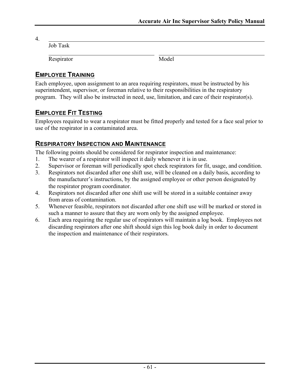4.

Job Task

Respirator Model

### **EMPLOYEE TRAINING**

Each employee, upon assignment to an area requiring respirators, must be instructed by his superintendent, supervisor, or foreman relative to their responsibilities in the respiratory program. They will also be instructed in need, use, limitation, and care of their respirator(s).

### **EMPLOYEE FIT TESTING**

Employees required to wear a respirator must be fitted properly and tested for a face seal prior to use of the respirator in a contaminated area.

### **RESPIRATORY INSPECTION AND MAINTENANCE**

The following points should be considered for respirator inspection and maintenance:

- 1. The wearer of a respirator will inspect it daily whenever it is in use.
- 2. Supervisor or foreman will periodically spot check respirators for fit, usage, and condition.
- 3. Respirators not discarded after one shift use, will be cleaned on a daily basis, according to the manufacturer's instructions, by the assigned employee or other person designated by the respirator program coordinator.
- 4. Respirators not discarded after one shift use will be stored in a suitable container away from areas of contamination.
- 5. Whenever feasible, respirators not discarded after one shift use will be marked or stored in such a manner to assure that they are worn only by the assigned employee.
- 6. Each area requiring the regular use of respirators will maintain a log book. Employees not discarding respirators after one shift should sign this log book daily in order to document the inspection and maintenance of their respirators.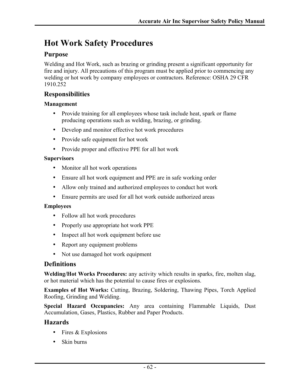# **Hot Work Safety Procedures**

### **Purpose**

Welding and Hot Work, such as brazing or grinding present a significant opportunity for fire and injury. All precautions of this program must be applied prior to commencing any welding or hot work by company employees or contractors. Reference: OSHA 29 CFR 1910.252

#### **Responsibilities**

#### **Management**

- Provide training for all employees whose task include heat, spark or flame producing operations such as welding, brazing, or grinding.
- Develop and monitor effective hot work procedures
- Provide safe equipment for hot work
- Provide proper and effective PPE for all hot work

#### **Supervisors**

- Monitor all hot work operations
- Ensure all hot work equipment and PPE are in safe working order
- Allow only trained and authorized employees to conduct hot work
- Ensure permits are used for all hot work outside authorized areas

#### **Employees**

- Follow all hot work procedures
- Properly use appropriate hot work PPE
- Inspect all hot work equipment before use
- Report any equipment problems
- Not use damaged hot work equipment

#### **Definitions**

**Welding/Hot Works Procedures:** any activity which results in sparks, fire, molten slag, or hot material which has the potential to cause fires or explosions.

**Examples of Hot Works:** Cutting, Brazing, Soldering, Thawing Pipes, Torch Applied Roofing, Grinding and Welding.

**Special Hazard Occupancies:** Any area containing Flammable Liquids, Dust Accumulation, Gases, Plastics, Rubber and Paper Products.

#### **Hazards**

- Fires & Explosions
- Skin burns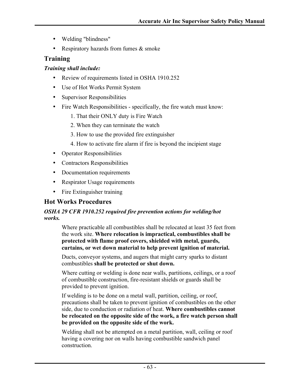- Welding "blindness"
- Respiratory hazards from fumes  $\&$  smoke

#### **Training**

#### *Training shall include:*

- Review of requirements listed in OSHA 1910.252
- Use of Hot Works Permit System
- Supervisor Responsibilities
- Fire Watch Responsibilities specifically, the fire watch must know:
	- 1. That their ONLY duty is Fire Watch
	- 2. When they can terminate the watch
	- 3. How to use the provided fire extinguisher
	- 4. How to activate fire alarm if fire is beyond the incipient stage
- Operator Responsibilities
- Contractors Responsibilities
- Documentation requirements
- Respirator Usage requirements
- Fire Extinguisher training

### **Hot Works Procedures**

#### *OSHA 29 CFR 1910.252 required fire prevention actions for welding/hot works.*

Where practicable all combustibles shall be relocated at least 35 feet from the work site. **Where relocation is impractical, combustibles shall be protected with flame proof covers, shielded with metal, guards, curtains, or wet down material to help prevent ignition of material.**

Ducts, conveyor systems, and augers that might carry sparks to distant combustibles **shall be protected or shut down.**

Where cutting or welding is done near walls, partitions, ceilings, or a roof of combustible construction, fire-resistant shields or guards shall be provided to prevent ignition.

If welding is to be done on a metal wall, partition, ceiling, or roof, precautions shall be taken to prevent ignition of combustibles on the other side, due to conduction or radiation of heat. **Where combustibles cannot be relocated on the opposite side of the work, a fire watch person shall be provided on the opposite side of the work.**

Welding shall not be attempted on a metal partition, wall, ceiling or roof having a covering nor on walls having combustible sandwich panel construction.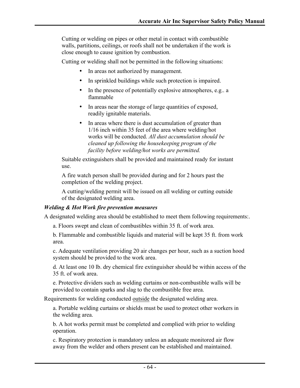Cutting or welding on pipes or other metal in contact with combustible walls, partitions, ceilings, or roofs shall not be undertaken if the work is close enough to cause ignition by combustion.

Cutting or welding shall not be permitted in the following situations:

- In areas not authorized by management.
- In sprinkled buildings while such protection is impaired.
- In the presence of potentially explosive atmospheres, e.g.. a flammable
- In areas near the storage of large quantities of exposed, readily ignitable materials.
- In areas where there is dust accumulation of greater than 1/16 inch within 35 feet of the area where welding/hot works will be conducted. *All dust accumulation should be cleaned up following the housekeeping program of the facility before welding/hot works are permitted.*

Suitable extinguishers shall be provided and maintained ready for instant use.

A fire watch person shall be provided during and for 2 hours past the completion of the welding project.

A cutting/welding permit will be issued on all welding or cutting outside of the designated welding area.

#### *Welding & Hot Work fire prevention measures*

A designated welding area should be established to meet them following requirements:.

a. Floors swept and clean of combustibles within 35 ft. of work area.

b. Flammable and combustible liquids and material will be kept 35 ft. from work area.

c. Adequate ventilation providing 20 air changes per hour, such as a suction hood system should be provided to the work area.

d. At least one 10 lb. dry chemical fire extinguisher should be within access of the 35 ft. of work area.

e. Protective dividers such as welding curtains or non-combustible walls will be provided to contain sparks and slag to the combustible free area.

Requirements for welding conducted outside the designated welding area.

a. Portable welding curtains or shields must be used to protect other workers in the welding area.

b. A hot works permit must be completed and complied with prior to welding operation.

c. Respiratory protection is mandatory unless an adequate monitored air flow away from the welder and others present can be established and maintained.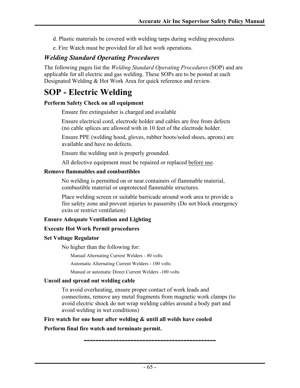- d. Plastic materials be covered with welding tarps during welding procedures
- e. Fire Watch must be provided for all hot work operations.

### *Welding Standard Operating Procedures*

The following pages list the *Welding Standard Operating Procedures* (SOP) and are applicable for all electric and gas welding. These SOPs are to be posted at each Designated Welding & Hot Work Area for quick reference and review.

# **SOP - Electric Welding**

#### **Perform Safety Check on all equipment**

Ensure fire extinguisher is charged and available

Ensure electrical cord, electrode holder and cables are free from defects (no cable splices are allowed with in 10 feet of the electrode holder.

Ensure PPE (welding hood, gloves, rubber boots/soled shoes, aprons) are available and have no defects.

Ensure the welding unit is properly grounded.

All defective equipment must be repaired or replaced before use.

#### **Remove flammables and combustibles**

No welding is permitted on or near containers of flammable material, combustible material or unprotected flammable structures.

Place welding screen or suitable barricade around work area to provide a fire safety zone and prevent injuries to passersby (Do not block emergency exits or restrict ventilation)

#### **Ensure Adequate Ventilation and Lighting**

#### **Execute Hot Work Permit procedures**

#### **Set Voltage Regulator**

No higher than the following for:

Manual Alternating Current Welders - 80 volts

Automatic Alternating Current Welders - 100 volts

Manual or automatic Direct Current Welders -100 volts

#### **Uncoil and spread out welding cable**

To avoid overheating, ensure proper contact of work leads and connections, remove any metal fragments from magnetic work clamps (to avoid electric shock do not wrap welding cables around a body part and avoid welding in wet conditions)

**Fire watch for one hour after welding & until all welds have cooled Perform final fire watch and terminate permit.**

*---------------------------------------------*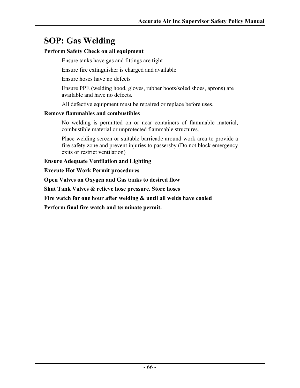# **SOP: Gas Welding**

#### **Perform Safety Check on all equipment**

Ensure tanks have gas and fittings are tight

Ensure fire extinguisher is charged and available

Ensure hoses have no defects

Ensure PPE (welding hood, gloves, rubber boots/soled shoes, aprons) are available and have no defects.

All defective equipment must be repaired or replace before uses.

#### **Remove flammables and combustibles**

No welding is permitted on or near containers of flammable material, combustible material or unprotected flammable structures.

Place welding screen or suitable barricade around work area to provide a fire safety zone and prevent injuries to passersby (Do not block emergency exits or restrict ventilation)

**Ensure Adequate Ventilation and Lighting**

**Execute Hot Work Permit procedures**

**Open Valves on Oxygen and Gas tanks to desired flow**

**Shut Tank Valves & relieve hose pressure. Store hoses**

**Fire watch for one hour after welding & until all welds have cooled**

**Perform final fire watch and terminate permit.**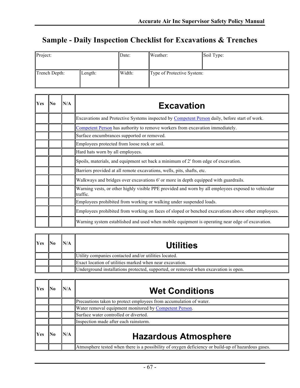# **Sample - Daily Inspection Checklist for Excavations & Trenches**

| Project:      |         | Date:  | Weather:                   | Soil Type: |
|---------------|---------|--------|----------------------------|------------|
|               |         |        |                            |            |
| Trench Depth: | Length: | Width: | Type of Protective System: |            |
|               |         |        |                            |            |

| Yes | No | N/A | <b>Excavation</b>                                                                                              |
|-----|----|-----|----------------------------------------------------------------------------------------------------------------|
|     |    |     | Excavations and Protective Systems inspected by Competent Person daily, before start of work.                  |
|     |    |     | Competent Person has authority to remove workers from excavation immediately.                                  |
|     |    |     | Surface encumbrances supported or removed.                                                                     |
|     |    |     | Employees protected from loose rock or soil.                                                                   |
|     |    |     | Hard hats worn by all employees.                                                                               |
|     |    |     | Spoils, materials, and equipment set back a minimum of 2' from edge of excavation.                             |
|     |    |     | Barriers provided at all remote excavations, wells, pits, shafts, etc.                                         |
|     |    |     | Walkways and bridges over excavations 6' or more in depth equipped with guardrails.                            |
|     |    |     | Warning vests, or other highly visible PPE provided and worn by all employees exposed to vehicular<br>traffic. |
|     |    |     | Employees prohibited from working or walking under suspended loads.                                            |
|     |    |     | Employees prohibited from working on faces of sloped or benched excavations above other employees.             |
|     |    |     | Warning system established and used when mobile equipment is operating near edge of excavation.                |

| Yes |  | <b>Utilities</b>                                                                    |
|-----|--|-------------------------------------------------------------------------------------|
|     |  | Utility companies contacted and/or utilities located.                               |
|     |  | Exact location of utilities marked when near excavation.                            |
|     |  | Underground installations protected, supported, or removed when excavation is open. |

| Yes        |  | <b>Wet Conditions</b>                                                                              |
|------------|--|----------------------------------------------------------------------------------------------------|
|            |  | Precautions taken to protect employees from accumulation of water.                                 |
|            |  | Water removal equipment monitored by Competent Person.                                             |
|            |  | Surface water controlled or diverted.                                                              |
|            |  | Inspection made after each rainstorm.                                                              |
| <b>Yes</b> |  | <b>Hazardous Atmosphere</b>                                                                        |
|            |  | Atmosphere tested when there is a possibility of oxygen deficiency or build-up of hazardous gases. |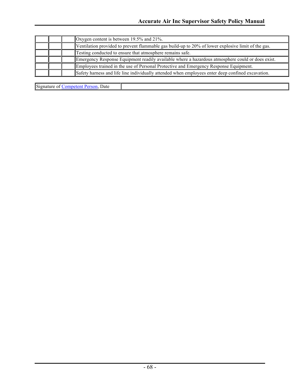|  | Oxygen content is between 19.5% and 21%.                                                           |
|--|----------------------------------------------------------------------------------------------------|
|  | Ventilation provided to prevent flammable gas build-up to 20% of lower explosive limit of the gas. |
|  | Testing conducted to ensure that atmosphere remains safe.                                          |
|  | Emergency Response Equipment readily available where a hazardous atmosphere could or does exist.   |
|  | Employees trained in the use of Personal Protective and Emergency Response Equipment.              |
|  | Safety harness and life line individually attended when employees enter deep confined excavation.  |

Signature of **Competent Person**, Date